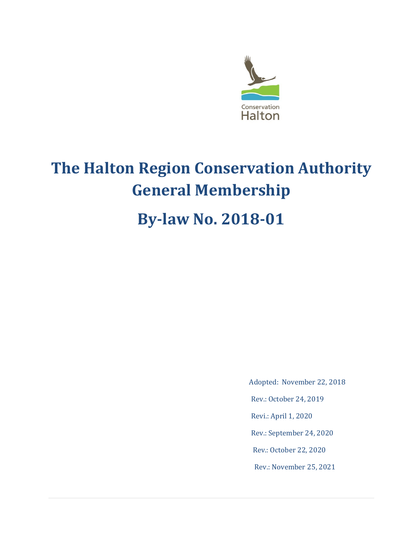

# **The Halton Region Conservation Authority General Membership**

# **By-law No. 2018-01**

Adopted: November 22, 2018

Rev.: October 24, 2019

Revi.: April 1, 2020

Rev.: September 24, 2020

Rev.: October 22, 2020

Rev.: November 25, 2021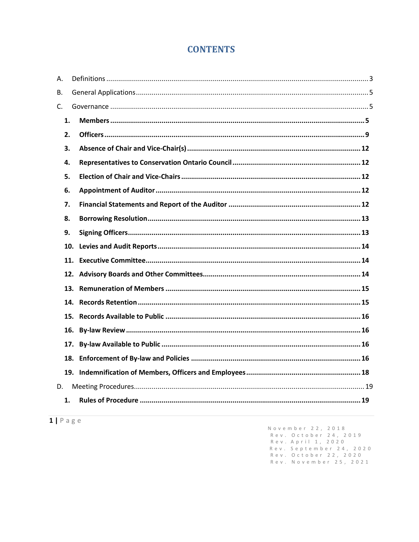# **CONTENTS**

| Α. |     |  |
|----|-----|--|
| В. |     |  |
| C. |     |  |
|    | 1.  |  |
|    | 2.  |  |
|    | 3.  |  |
|    | 4.  |  |
|    | 5.  |  |
|    | 6.  |  |
|    | 7.  |  |
|    | 8.  |  |
|    | 9.  |  |
|    |     |  |
|    |     |  |
|    |     |  |
|    |     |  |
|    |     |  |
|    |     |  |
|    |     |  |
|    | 17. |  |
|    |     |  |
|    |     |  |
| D. |     |  |
|    | 1.  |  |
|    |     |  |

 $1 | P \text{age}$ 

November 22, 2018<br>Rev. October 24, 2019<br>Rev. April 1, 2020<br>Rev. September 24, 2020<br>Rev. October 22, 2020<br>Rev. November 25, 2021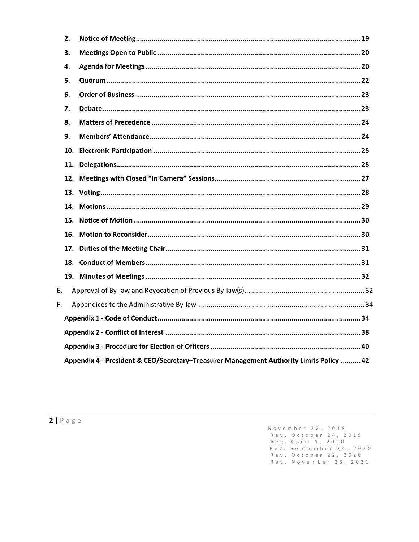|    | 2.                                                                                      |  |  |
|----|-----------------------------------------------------------------------------------------|--|--|
|    | 3.                                                                                      |  |  |
|    | 4.                                                                                      |  |  |
|    | 5.                                                                                      |  |  |
|    | 6.                                                                                      |  |  |
|    | 7.                                                                                      |  |  |
|    | 8.                                                                                      |  |  |
|    | 9.                                                                                      |  |  |
|    | 10.                                                                                     |  |  |
|    | 11.                                                                                     |  |  |
|    |                                                                                         |  |  |
|    |                                                                                         |  |  |
|    | 14.                                                                                     |  |  |
|    | 15.                                                                                     |  |  |
|    | 16.                                                                                     |  |  |
|    | 17.                                                                                     |  |  |
|    |                                                                                         |  |  |
|    |                                                                                         |  |  |
| Е. |                                                                                         |  |  |
| F. |                                                                                         |  |  |
|    |                                                                                         |  |  |
|    |                                                                                         |  |  |
|    |                                                                                         |  |  |
|    | Appendix 4 - President & CEO/Secretary-Treasurer Management Authority Limits Policy  42 |  |  |

November 22, 2018<br>Rev. October 24, 2019<br>Rev. April 1, 2020<br>Rev. September 24, 2020<br>Rev. October 22, 2020<br>Rev. November 25, 2021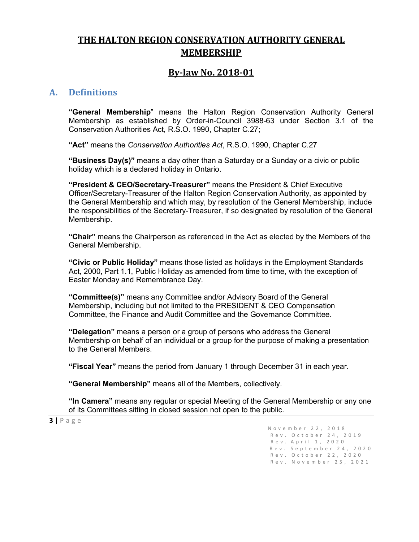# **THE HALTON REGION CONSERVATION AUTHORITY GENERAL MEMBERSHIP**

# **By-law No. 2018-01**

# <span id="page-3-0"></span>**A. Definitions**

**"General Membership**" means the Halton Region Conservation Authority General Membership as established by Order-in-Council 3988-63 under Section 3.1 of the Conservation Authorities Act, R.S.O. 1990, Chapter C.27;

**"Act"** means the *Conservation Authorities Act*, R.S.O. 1990, Chapter C.27

**"Business Day(s)"** means a day other than a Saturday or a Sunday or a civic or public holiday which is a declared holiday in Ontario.

**"President & CEO/Secretary-Treasurer"** means the President & Chief Executive Officer/Secretary-Treasurer of the Halton Region Conservation Authority, as appointed by the General Membership and which may, by resolution of the General Membership, include the responsibilities of the Secretary-Treasurer, if so designated by resolution of the General Membership.

**"Chair"** means the Chairperson as referenced in the Act as elected by the Members of the General Membership.

**"Civic or Public Holiday"** means those listed as holidays in the Employment Standards Act, 2000, Part 1.1, Public Holiday as amended from time to time, with the exception of Easter Monday and Remembrance Day.

**"Committee(s)"** means any Committee and/or Advisory Board of the General Membership, including but not limited to the PRESIDENT & CEO Compensation Committee, the Finance and Audit Committee and the Governance Committee.

**"Delegation"** means a person or a group of persons who address the General Membership on behalf of an individual or a group for the purpose of making a presentation to the General Members.

**"Fiscal Year"** means the period from January 1 through December 31 in each year.

**"General Membership"** means all of the Members, collectively.

**"In Camera"** means any regular or special Meeting of the General Membership or any one of its Committees sitting in closed session not open to the public.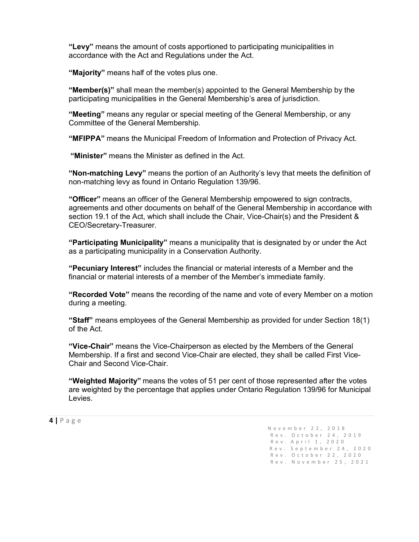**"Levy"** means the amount of costs apportioned to participating municipalities in accordance with the Act and Regulations under the Act.

**"Majority"** means half of the votes plus one.

**"Member(s)"** shall mean the member(s) appointed to the General Membership by the participating municipalities in the General Membership's area of jurisdiction.

**"Meeting"** means any regular or special meeting of the General Membership, or any Committee of the General Membership.

**"MFIPPA"** means the Municipal Freedom of Information and Protection of Privacy Act.

**"Minister"** means the Minister as defined in the Act.

**"Non-matching Levy"** means the portion of an Authority's levy that meets the definition of non-matching levy as found in Ontario Regulation 139/96.

**"Officer"** means an officer of the General Membership empowered to sign contracts, agreements and other documents on behalf of the General Membership in accordance with section 19.1 of the Act, which shall include the Chair, Vice-Chair(s) and the President & CEO/Secretary-Treasurer.

**"Participating Municipality"** means a municipality that is designated by or under the Act as a participating municipality in a Conservation Authority.

**"Pecuniary Interest"** includes the financial or material interests of a Member and the financial or material interests of a member of the Member's immediate family.

**"Recorded Vote"** means the recording of the name and vote of every Member on a motion during a meeting.

**"Staff"** means employees of the General Membership as provided for under Section 18(1) of the Act.

**"Vice-Chair"** means the Vice-Chairperson as elected by the Members of the General Membership. If a first and second Vice-Chair are elected, they shall be called First Vice-Chair and Second Vice-Chair.

**"Weighted Majority"** means the votes of 51 per cent of those represented after the votes are weighted by the percentage that applies under Ontario Regulation 139/96 for Municipal Levies.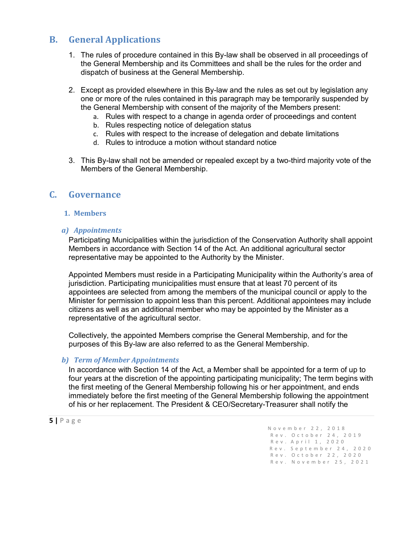# <span id="page-5-0"></span>**B. General Applications**

- 1. The rules of procedure contained in this By-law shall be observed in all proceedings of the General Membership and its Committees and shall be the rules for the order and dispatch of business at the General Membership.
- 2. Except as provided elsewhere in this By-law and the rules as set out by legislation any one or more of the rules contained in this paragraph may be temporarily suspended by the General Membership with consent of the majority of the Members present:
	- a. Rules with respect to a change in agenda order of proceedings and content
	- b. Rules respecting notice of delegation status
	- c. Rules with respect to the increase of delegation and debate limitations
	- d. Rules to introduce a motion without standard notice
- 3. This By-law shall not be amended or repealed except by a two-third majority vote of the Members of the General Membership.

# <span id="page-5-2"></span><span id="page-5-1"></span>**C. Governance**

#### **1. Members**

#### *a) Appointments*

Participating Municipalities within the jurisdiction of the Conservation Authority shall appoint Members in accordance with Section 14 of the Act. An additional agricultural sector representative may be appointed to the Authority by the Minister.

Appointed Members must reside in a Participating Municipality within the Authority's area of jurisdiction. Participating municipalities must ensure that at least 70 percent of its appointees are selected from among the members of the municipal council or apply to the Minister for permission to appoint less than this percent. Additional appointees may include citizens as well as an additional member who may be appointed by the Minister as a representative of the agricultural sector.

Collectively, the appointed Members comprise the General Membership, and for the purposes of this By-law are also referred to as the General Membership.

### *b) Term of Member Appointments*

In accordance with Section 14 of the Act, a Member shall be appointed for a term of up to four years at the discretion of the appointing participating municipality; The term begins with the first meeting of the General Membership following his or her appointment, and ends immediately before the first meeting of the General Membership following the appointment of his or her replacement. The President & CEO/Secretary-Treasurer shall notify the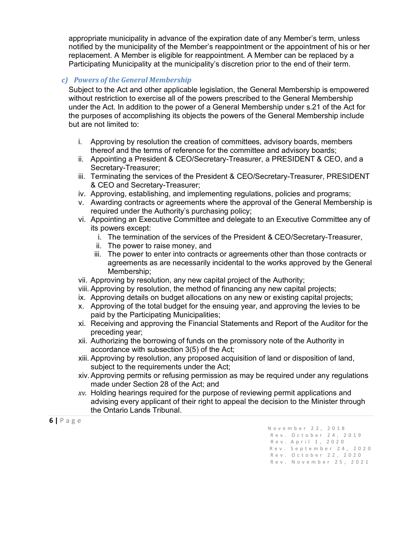appropriate municipality in advance of the expiration date of any Member's term, unless notified by the municipality of the Member's reappointment or the appointment of his or her replacement. A Member is eligible for reappointment. A Member can be replaced by a Participating Municipality at the municipality's discretion prior to the end of their term.

#### *c) Powers of the General Membership*

Subject to the Act and other applicable legislation, the General Membership is empowered without restriction to exercise all of the powers prescribed to the General Membership under the Act. In addition to the power of a General Membership under s.21 of the Act for the purposes of accomplishing its objects the powers of the General Membership include but are not limited to:

- i. Approving by resolution the creation of committees, advisory boards, members thereof and the terms of reference for the committee and advisory boards;
- ii. Appointing a President & CEO/Secretary-Treasurer, a PRESIDENT & CEO, and a Secretary-Treasurer;
- iii. Terminating the services of the President & CEO/Secretary-Treasurer, PRESIDENT & CEO and Secretary-Treasurer;
- iv. Approving, establishing, and implementing regulations, policies and programs;
- v. Awarding contracts or agreements where the approval of the General Membership is required under the Authority's purchasing policy;
- vi. Appointing an Executive Committee and delegate to an Executive Committee any of its powers except:
	- i. The termination of the services of the President & CEO/Secretary-Treasurer,
	- ii. The power to raise money, and
	- iii. The power to enter into contracts or agreements other than those contracts or agreements as are necessarily incidental to the works approved by the General Membership;
- vii. Approving by resolution, any new capital project of the Authority;
- viii. Approving by resolution, the method of financing any new capital projects;
- ix. Approving details on budget allocations on any new or existing capital projects;
- x. Approving of the total budget for the ensuing year, and approving the levies to be paid by the Participating Municipalities;
- xi. Receiving and approving the Financial Statements and Report of the Auditor for the preceding year;
- xii. Authorizing the borrowing of funds on the promissory note of the Authority in accordance with subsection 3(5) of the Act;
- xiii. Approving by resolution, any proposed acquisition of land or disposition of land, subject to the requirements under the Act;
- xiv.Approving permits or refusing permission as may be required under any regulations made under Section 28 of the Act; and
- *xv.* Holding hearings required for the purpose of reviewing permit applications and advising every applicant of their right to appeal the decision to the Minister through the Ontario Lands Tribunal.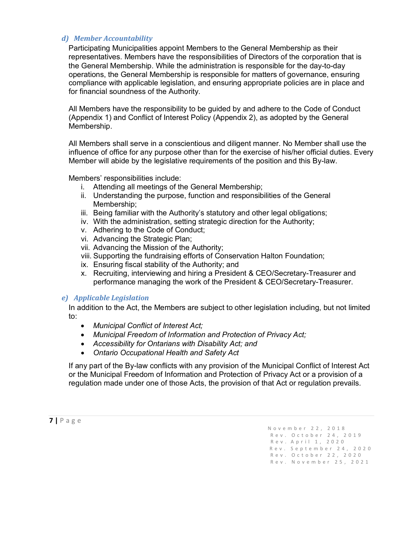#### *d) Member Accountability*

Participating Municipalities appoint Members to the General Membership as their representatives. Members have the responsibilities of Directors of the corporation that is the General Membership. While the administration is responsible for the day-to-day operations, the General Membership is responsible for matters of governance, ensuring compliance with applicable legislation, and ensuring appropriate policies are in place and for financial soundness of the Authority.

All Members have the responsibility to be guided by and adhere to the Code of Conduct (Appendix 1) and Conflict of Interest Policy (Appendix 2), as adopted by the General Membership.

All Members shall serve in a conscientious and diligent manner. No Member shall use the influence of office for any purpose other than for the exercise of his/her official duties. Every Member will abide by the legislative requirements of the position and this By-law.

Members' responsibilities include:

- i. Attending all meetings of the General Membership;
- ii. Understanding the purpose, function and responsibilities of the General Membership;
- iii. Being familiar with the Authority's statutory and other legal obligations;
- iv. With the administration, setting strategic direction for the Authority;
- v. Adhering to the Code of Conduct;
- vi. Advancing the Strategic Plan;
- vii. Advancing the Mission of the Authority;
- viii. Supporting the fundraising efforts of Conservation Halton Foundation;
- ix. Ensuring fiscal stability of the Authority; and
- x. Recruiting, interviewing and hiring a President & CEO/Secretary-Treasurer and performance managing the work of the President & CEO/Secretary-Treasurer.

#### *e) Applicable Legislation*

In addition to the Act, the Members are subject to other legislation including, but not limited to:

- *Municipal Conflict of Interest Act;*
- *Municipal Freedom of Information and Protection of Privacy Act;*
- *Accessibility for Ontarians with Disability Act; and*
- *Ontario Occupational Health and Safety Act*

If any part of the By-law conflicts with any provision of the Municipal Conflict of Interest Act or the Municipal Freedom of Information and Protection of Privacy Act or a provision of a regulation made under one of those Acts, the provision of that Act or regulation prevails.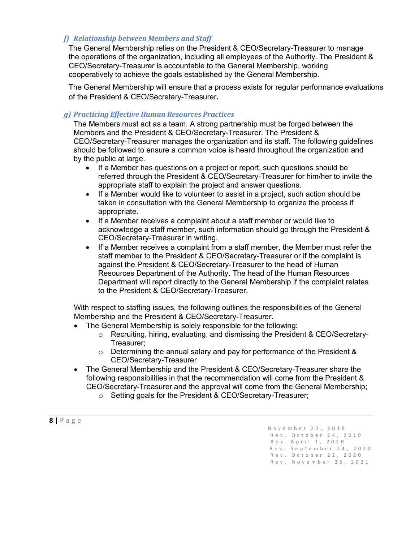#### *f) Relationship between Members and Staff*

The General Membership relies on the President & CEO/Secretary-Treasurer to manage the operations of the organization, including all employees of the Authority. The President & CEO/Secretary-Treasurer is accountable to the General Membership, working cooperatively to achieve the goals established by the General Membership.

The General Membership will ensure that a process exists for regular performance evaluations of the President & CEO/Secretary-Treasurer**.**

#### *g) Practicing Effective Human Resources Practices*

The Members must act as a team. A strong partnership must be forged between the Members and the President & CEO/Secretary-Treasurer. The President & CEO/Secretary-Treasurer manages the organization and its staff. The following guidelines should be followed to ensure a common voice is heard throughout the organization and by the public at large.

- If a Member has questions on a project or report, such questions should be referred through the President & CEO/Secretary-Treasurer for him/her to invite the appropriate staff to explain the project and answer questions.
- If a Member would like to volunteer to assist in a project, such action should be taken in consultation with the General Membership to organize the process if appropriate.
- If a Member receives a complaint about a staff member or would like to acknowledge a staff member, such information should go through the President & CEO/Secretary-Treasurer in writing.
- If a Member receives a complaint from a staff member, the Member must refer the staff member to the President & CEO/Secretary-Treasurer or if the complaint is against the President & CEO/Secretary-Treasurer to the head of Human Resources Department of the Authority. The head of the Human Resources Department will report directly to the General Membership if the complaint relates to the President & CEO/Secretary-Treasurer.

With respect to staffing issues, the following outlines the responsibilities of the General Membership and the President & CEO/Secretary-Treasurer.

- The General Membership is solely responsible for the following:
	- o Recruiting, hiring, evaluating, and dismissing the President & CEO/Secretary-Treasurer;
	- $\circ$  Determining the annual salary and pay for performance of the President & CEO/Secretary-Treasurer
- The General Membership and the President & CEO/Secretary-Treasurer share the following responsibilities in that the recommendation will come from the President & CEO/Secretary-Treasurer and the approval will come from the General Membership;
	- o Setting goals for the President & CEO/Secretary-Treasurer;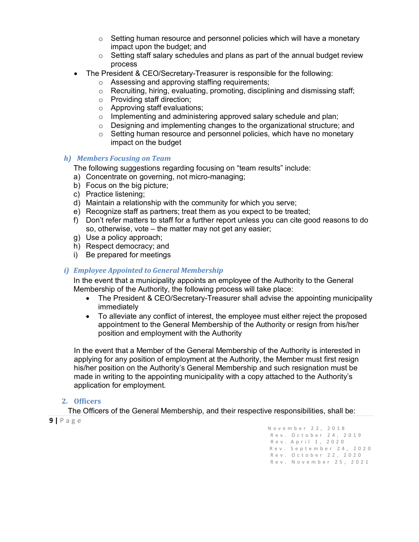- $\circ$  Setting human resource and personnel policies which will have a monetary impact upon the budget; and
- $\circ$  Setting staff salary schedules and plans as part of the annual budget review process
- The President & CEO/Secretary-Treasurer is responsible for the following:
	- o Assessing and approving staffing requirements;
	- $\circ$  Recruiting, hiring, evaluating, promoting, disciplining and dismissing staff;
	- o Providing staff direction;
	- o Approving staff evaluations;
	- o Implementing and administering approved salary schedule and plan;
	- o Designing and implementing changes to the organizational structure; and
	- $\circ$  Setting human resource and personnel policies, which have no monetary impact on the budget

#### *h) Members Focusing on Team*

The following suggestions regarding focusing on "team results" include:

- a) Concentrate on governing, not micro-managing;
- b) Focus on the big picture;
- c) Practice listening;
- d) Maintain a relationship with the community for which you serve;
- e) Recognize staff as partners; treat them as you expect to be treated;
- f) Don't refer matters to staff for a further report unless you can cite good reasons to do so, otherwise, vote – the matter may not get any easier;
- g) Use a policy approach;
- h) Respect democracy; and
- i) Be prepared for meetings

#### *i) Employee Appointed to General Membership*

In the event that a municipality appoints an employee of the Authority to the General Membership of the Authority, the following process will take place:

- The President & CEO/Secretary-Treasurer shall advise the appointing municipality immediately
- To alleviate any conflict of interest, the employee must either reject the proposed appointment to the General Membership of the Authority or resign from his/her position and employment with the Authority

In the event that a Member of the General Membership of the Authority is interested in applying for any position of employment at the Authority, the Member must first resign his/her position on the Authority's General Membership and such resignation must be made in writing to the appointing municipality with a copy attached to the Authority's application for employment.

#### <span id="page-9-0"></span>**2. Officers**

**<sup>9</sup> <sup>|</sup>**Page November 22, 2018 The Officers of the General Membership, and their respective responsibilities, shall be:

 Rev . October 24, 2019 Rev.A p ril 1, 2020 Rev. September 24, 2020 Rev. October 22, 2020 Rev. November 25, 2021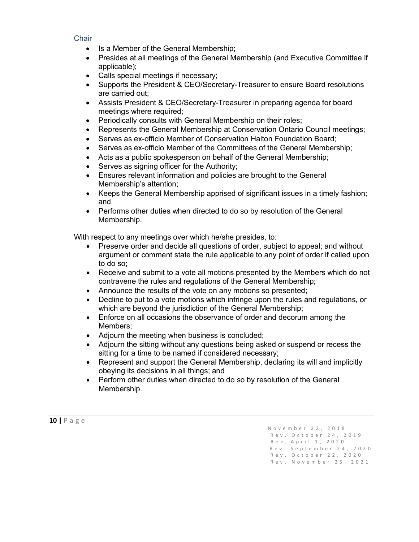#### **Chair**

- Is a Member of the General Membership;
- Presides at all meetings of the General Membership (and Executive Committee if applicable);
- Calls special meetings if necessary;
- Supports the President & CEO/Secretary-Treasurer to ensure Board resolutions are carried out;
- Assists President & CEO/Secretary-Treasurer in preparing agenda for board meetings where required;
- Periodically consults with General Membership on their roles;
- Represents the General Membership at Conservation Ontario Council meetings;
- Serves as ex-officio Member of Conservation Halton Foundation Board;
- Serves as ex-officio Member of the Committees of the General Membership;
- Acts as a public spokesperson on behalf of the General Membership;
- Serves as signing officer for the Authority;
- Ensures relevant information and policies are brought to the General Membership's attention;
- Keeps the General Membership apprised of significant issues in a timely fashion; and
- Performs other duties when directed to do so by resolution of the General Membership.

With respect to any meetings over which he/she presides, to:

- Preserve order and decide all questions of order, subject to appeal; and without argument or comment state the rule applicable to any point of order if called upon to do so;
- Receive and submit to a vote all motions presented by the Members which do not contravene the rules and regulations of the General Membership;
- Announce the results of the vote on any motions so presented;
- Decline to put to a vote motions which infringe upon the rules and regulations, or which are beyond the jurisdiction of the General Membership;
- Enforce on all occasions the observance of order and decorum among the Members;
- Adjourn the meeting when business is concluded;
- Adjourn the sitting without any questions being asked or suspend or recess the sitting for a time to be named if considered necessary;
- Represent and support the General Membership, declaring its will and implicitly obeying its decisions in all things; and
- Perform other duties when directed to do so by resolution of the General Membership.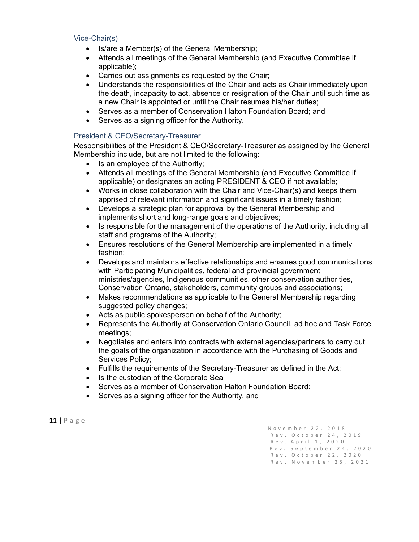#### Vice-Chair(s)

- Is/are a Member(s) of the General Membership;
- Attends all meetings of the General Membership (and Executive Committee if applicable);
- Carries out assignments as requested by the Chair;
- Understands the responsibilities of the Chair and acts as Chair immediately upon the death, incapacity to act, absence or resignation of the Chair until such time as a new Chair is appointed or until the Chair resumes his/her duties;
- Serves as a member of Conservation Halton Foundation Board; and
- Serves as a signing officer for the Authority.

#### President & CEO/Secretary-Treasurer

Responsibilities of the President & CEO/Secretary-Treasurer as assigned by the General Membership include, but are not limited to the following:

- Is an employee of the Authority;
- Attends all meetings of the General Membership (and Executive Committee if applicable) or designates an acting PRESIDENT & CEO if not available;
- Works in close collaboration with the Chair and Vice-Chair(s) and keeps them apprised of relevant information and significant issues in a timely fashion;
- Develops a strategic plan for approval by the General Membership and implements short and long-range goals and objectives;
- Is responsible for the management of the operations of the Authority, including all staff and programs of the Authority;
- Ensures resolutions of the General Membership are implemented in a timely fashion;
- Develops and maintains effective relationships and ensures good communications with Participating Municipalities, federal and provincial government ministries/agencies, Indigenous communities, other conservation authorities, Conservation Ontario, stakeholders, community groups and associations;
- Makes recommendations as applicable to the General Membership regarding suggested policy changes;
- Acts as public spokesperson on behalf of the Authority;
- Represents the Authority at Conservation Ontario Council, ad hoc and Task Force meetings;
- Negotiates and enters into contracts with external agencies/partners to carry out the goals of the organization in accordance with the Purchasing of Goods and Services Policy;
- Fulfills the requirements of the Secretary-Treasurer as defined in the Act;
- Is the custodian of the Corporate Seal
- Serves as a member of Conservation Halton Foundation Board;
- Serves as a signing officer for the Authority, and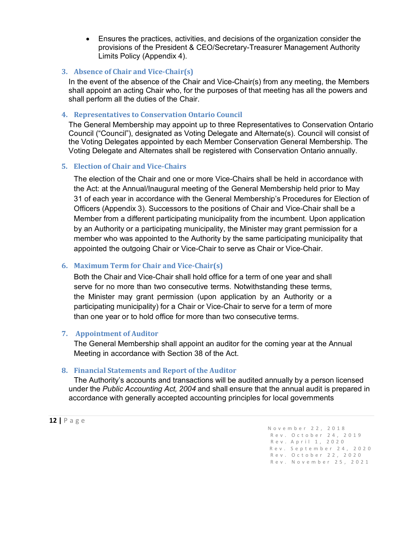• Ensures the practices, activities, and decisions of the organization consider the provisions of the President & CEO/Secretary-Treasurer Management Authority Limits Policy (Appendix 4).

#### <span id="page-12-0"></span>**3. Absence of Chair and Vice-Chair(s)**

In the event of the absence of the Chair and Vice-Chair(s) from any meeting, the Members shall appoint an acting Chair who, for the purposes of that meeting has all the powers and shall perform all the duties of the Chair.

#### <span id="page-12-1"></span>**4. Representatives to Conservation Ontario Council**

The General Membership may appoint up to three Representatives to Conservation Ontario Council ("Council"), designated as Voting Delegate and Alternate(s). Council will consist of the Voting Delegates appointed by each Member Conservation General Membership. The Voting Delegate and Alternates shall be registered with Conservation Ontario annually.

#### <span id="page-12-2"></span>**5. Election of Chair and Vice-Chairs**

The election of the Chair and one or more Vice-Chairs shall be held in accordance with the Act: at the Annual/Inaugural meeting of the General Membership held prior to May 31 of each year in accordance with the General Membership's Procedures for Election of Officers (Appendix 3). Successors to the positions of Chair and Vice-Chair shall be a Member from a different participating municipality from the incumbent. Upon application by an Authority or a participating municipality, the Minister may grant permission for a member who was appointed to the Authority by the same participating municipality that appointed the outgoing Chair or Vice-Chair to serve as Chair or Vice-Chair.

### **6. Maximum Term for Chair and Vice-Chair(s)**

Both the Chair and Vice-Chair shall hold office for a term of one year and shall serve for no more than two consecutive terms. Notwithstanding these terms, the Minister may grant permission (upon application by an Authority or a participating municipality) for a Chair or Vice-Chair to serve for a term of more than one year or to hold office for more than two consecutive terms.

### <span id="page-12-3"></span>**7. Appointment of Auditor**

The General Membership shall appoint an auditor for the coming year at the Annual Meeting in accordance with Section 38 of the Act.

### <span id="page-12-4"></span>**8. Financial Statements and Report of the Auditor**

The Authority's accounts and transactions will be audited annually by a person licensed under the *Public Accounting Act, 2004* and shall ensure that the annual audit is prepared in accordance with generally accepted accounting principles for local governments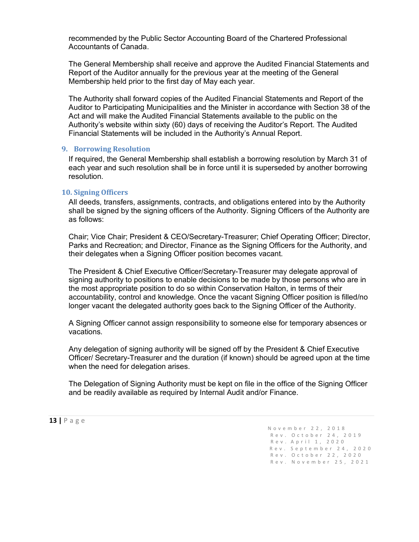recommended by the Public Sector Accounting Board of the Chartered Professional Accountants of Canada.

The General Membership shall receive and approve the Audited Financial Statements and Report of the Auditor annually for the previous year at the meeting of the General Membership held prior to the first day of May each year.

The Authority shall forward copies of the Audited Financial Statements and Report of the Auditor to Participating Municipalities and the Minister in accordance with Section 38 of the Act and will make the Audited Financial Statements available to the public on the Authority's website within sixty (60) days of receiving the Auditor's Report. The Audited Financial Statements will be included in the Authority's Annual Report.

#### <span id="page-13-0"></span>**9. Borrowing Resolution**

If required, the General Membership shall establish a borrowing resolution by March 31 of each year and such resolution shall be in force until it is superseded by another borrowing resolution.

#### <span id="page-13-1"></span>**10. Signing Officers**

All deeds, transfers, assignments, contracts, and obligations entered into by the Authority shall be signed by the signing officers of the Authority. Signing Officers of the Authority are as follows:

Chair; Vice Chair; President & CEO/Secretary-Treasurer; Chief Operating Officer; Director, Parks and Recreation; and Director, Finance as the Signing Officers for the Authority, and their delegates when a Signing Officer position becomes vacant.

The President & Chief Executive Officer/Secretary-Treasurer may delegate approval of signing authority to positions to enable decisions to be made by those persons who are in the most appropriate position to do so within Conservation Halton, in terms of their accountability, control and knowledge. Once the vacant Signing Officer position is filled/no longer vacant the delegated authority goes back to the Signing Officer of the Authority.

A Signing Officer cannot assign responsibility to someone else for temporary absences or vacations.

Any delegation of signing authority will be signed off by the President & Chief Executive Officer/ Secretary-Treasurer and the duration (if known) should be agreed upon at the time when the need for delegation arises.

The Delegation of Signing Authority must be kept on file in the office of the Signing Officer and be readily available as required by Internal Audit and/or Finance.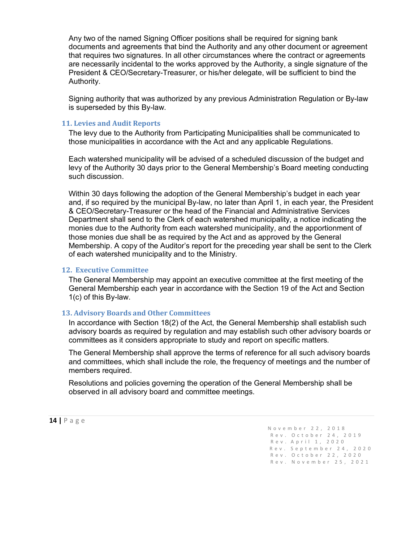Any two of the named Signing Officer positions shall be required for signing bank documents and agreements that bind the Authority and any other document or agreement that requires two signatures. In all other circumstances where the contract or agreements are necessarily incidental to the works approved by the Authority, a single signature of the President & CEO/Secretary-Treasurer, or his/her delegate, will be sufficient to bind the Authority.

Signing authority that was authorized by any previous Administration Regulation or By-law is superseded by this By-law.

#### <span id="page-14-0"></span>**11. Levies and Audit Reports**

The levy due to the Authority from Participating Municipalities shall be communicated to those municipalities in accordance with the Act and any applicable Regulations.

Each watershed municipality will be advised of a scheduled discussion of the budget and levy of the Authority 30 days prior to the General Membership's Board meeting conducting such discussion.

Within 30 days following the adoption of the General Membership's budget in each year and, if so required by the municipal By-law, no later than April 1, in each year, the President & CEO/Secretary-Treasurer or the head of the Financial and Administrative Services Department shall send to the Clerk of each watershed municipality, a notice indicating the monies due to the Authority from each watershed municipality, and the apportionment of those monies due shall be as required by the Act and as approved by the General Membership. A copy of the Auditor's report for the preceding year shall be sent to the Clerk of each watershed municipality and to the Ministry.

#### <span id="page-14-1"></span>**12. Executive Committee**

The General Membership may appoint an executive committee at the first meeting of the General Membership each year in accordance with the Section 19 of the Act and Section 1(c) of this By-law.

#### <span id="page-14-2"></span>**13. Advisory Boards and Other Committees**

In accordance with Section 18(2) of the Act, the General Membership shall establish such advisory boards as required by regulation and may establish such other advisory boards or committees as it considers appropriate to study and report on specific matters.

The General Membership shall approve the terms of reference for all such advisory boards and committees, which shall include the role, the frequency of meetings and the number of members required.

Resolutions and policies governing the operation of the General Membership shall be observed in all advisory board and committee meetings.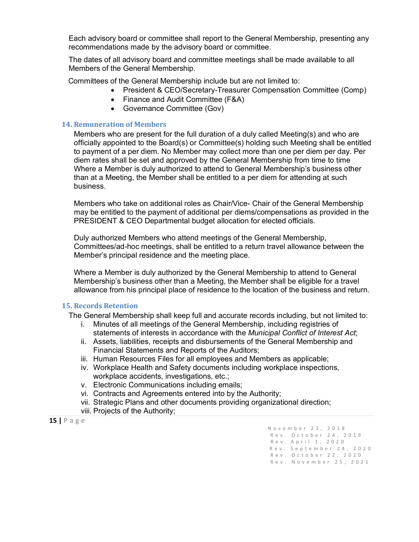Each advisory board or committee shall report to the General Membership, presenting any recommendations made by the advisory board or committee.

The dates of all advisory board and committee meetings shall be made available to all Members of the General Membership.

Committees of the General Membership include but are not limited to:

- President & CEO/Secretary-Treasurer Compensation Committee (Comp)
- Finance and Audit Committee (F&A)
- Governance Committee (Gov)

#### <span id="page-15-0"></span>**14. Remuneration of Members**

Members who are present for the full duration of a duly called Meeting(s) and who are officially appointed to the Board(s) or Committee(s) holding such Meeting shall be entitled to payment of a per diem. No Member may collect more than one per diem per day. Per diem rates shall be set and approved by the General Membership from time to time Where a Member is duly authorized to attend to General Membership's business other than at a Meeting, the Member shall be entitled to a per diem for attending at such business.

Members who take on additional roles as Chair/Vice- Chair of the General Membership may be entitled to the payment of additional per diems/compensations as provided in the PRESIDENT & CEO Departmental budget allocation for elected officials.

Duly authorized Members who attend meetings of the General Membership, Committees/ad-hoc meetings, shall be entitled to a return travel allowance between the Member's principal residence and the meeting place.

Where a Member is duly authorized by the General Membership to attend to General Membership's business other than a Meeting, the Member shall be eligible for a travel allowance from his principal place of residence to the location of the business and return.

#### <span id="page-15-1"></span>**15. Records Retention**

The General Membership shall keep full and accurate records including, but not limited to:

- i. Minutes of all meetings of the General Membership, including registries of statements of interests in accordance with the *Municipal Conflict of Interest Act*;
- ii. Assets, liabilities, receipts and disbursements of the General Membership and Financial Statements and Reports of the Auditors;
- iii. Human Resources Files for all employees and Members as applicable;
- iv. Workplace Health and Safety documents including workplace inspections, workplace accidents, investigations, etc.;
- v. Electronic Communications including emails;
- vi. Contracts and Agreements entered into by the Authority;
- vii. Strategic Plans and other documents providing organizational direction;
- viii. Projects of the Authority;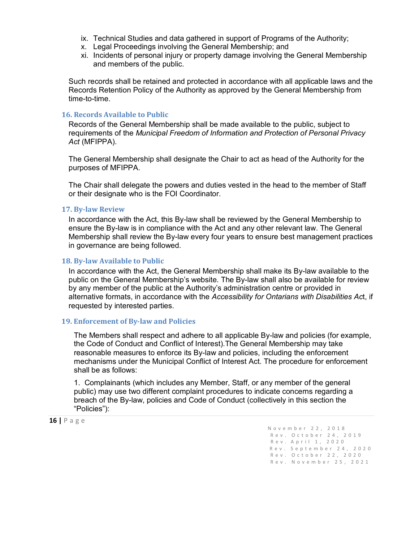- ix. Technical Studies and data gathered in support of Programs of the Authority;
- x. Legal Proceedings involving the General Membership; and
- xi. Incidents of personal injury or property damage involving the General Membership and members of the public.

Such records shall be retained and protected in accordance with all applicable laws and the Records Retention Policy of the Authority as approved by the General Membership from time-to-time.

#### <span id="page-16-0"></span>**16. Records Available to Public**

Records of the General Membership shall be made available to the public, subject to requirements of the *Municipal Freedom of Information and Protection of Personal Privacy Act* (MFIPPA).

The General Membership shall designate the Chair to act as head of the Authority for the purposes of MFIPPA.

The Chair shall delegate the powers and duties vested in the head to the member of Staff or their designate who is the FOI Coordinator.

#### <span id="page-16-1"></span>**17. By-law Review**

In accordance with the Act, this By-law shall be reviewed by the General Membership to ensure the By-law is in compliance with the Act and any other relevant law. The General Membership shall review the By-law every four years to ensure best management practices in governance are being followed.

#### <span id="page-16-2"></span>**18. By-law Available to Public**

In accordance with the Act, the General Membership shall make its By-law available to the public on the General Membership's website. The By-law shall also be available for review by any member of the public at the Authority's administration centre or provided in alternative formats, in accordance with the *Accessibility for Ontarians with Disabilities Ac*t, if requested by interested parties.

#### <span id="page-16-3"></span>**19. Enforcement of By-law and Policies**

The Members shall respect and adhere to all applicable By-law and policies (for example, the Code of Conduct and Conflict of Interest).The General Membership may take reasonable measures to enforce its By-law and policies, including the enforcement mechanisms under the Municipal Conflict of Interest Act. The procedure for enforcement shall be as follows:

1. Complainants (which includes any Member, Staff, or any member of the general public) may use two different complaint procedures to indicate concerns regarding a breach of the By-law, policies and Code of Conduct (collectively in this section the "Policies"):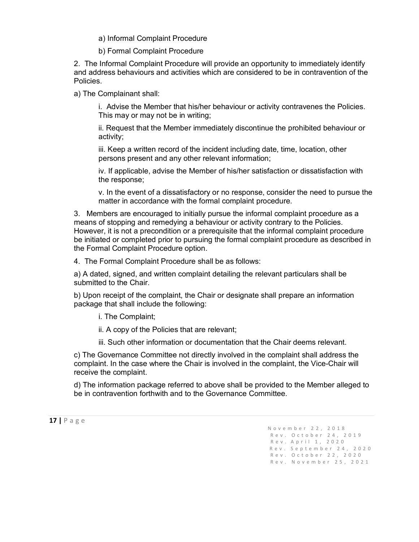a) Informal Complaint Procedure

b) Formal Complaint Procedure

2. The Informal Complaint Procedure will provide an opportunity to immediately identify and address behaviours and activities which are considered to be in contravention of the Policies.

a) The Complainant shall:

i. Advise the Member that his/her behaviour or activity contravenes the Policies. This may or may not be in writing;

ii. Request that the Member immediately discontinue the prohibited behaviour or activity;

iii. Keep a written record of the incident including date, time, location, other persons present and any other relevant information;

iv. If applicable, advise the Member of his/her satisfaction or dissatisfaction with the response;

v. In the event of a dissatisfactory or no response, consider the need to pursue the matter in accordance with the formal complaint procedure.

3. Members are encouraged to initially pursue the informal complaint procedure as a means of stopping and remedying a behaviour or activity contrary to the Policies. However, it is not a precondition or a prerequisite that the informal complaint procedure be initiated or completed prior to pursuing the formal complaint procedure as described in the Formal Complaint Procedure option.

4. The Formal Complaint Procedure shall be as follows:

a) A dated, signed, and written complaint detailing the relevant particulars shall be submitted to the Chair.

b) Upon receipt of the complaint, the Chair or designate shall prepare an information package that shall include the following:

i. The Complaint;

ii. A copy of the Policies that are relevant;

iii. Such other information or documentation that the Chair deems relevant.

c) The Governance Committee not directly involved in the complaint shall address the complaint. In the case where the Chair is involved in the complaint, the Vice-Chair will receive the complaint.

d) The information package referred to above shall be provided to the Member alleged to be in contravention forthwith and to the Governance Committee.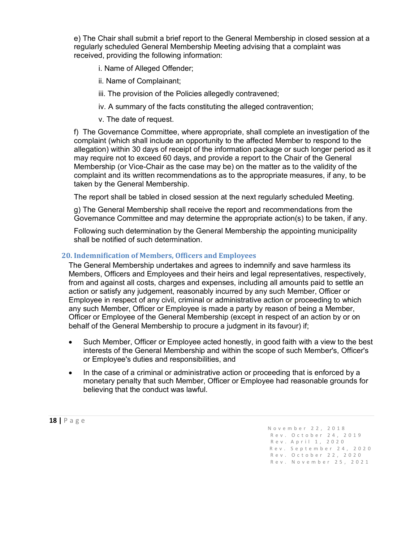e) The Chair shall submit a brief report to the General Membership in closed session at a regularly scheduled General Membership Meeting advising that a complaint was received, providing the following information:

i. Name of Alleged Offender;

- ii. Name of Complainant;
- iii. The provision of the Policies allegedly contravened;
- iv. A summary of the facts constituting the alleged contravention;
- v. The date of request.

f) The Governance Committee, where appropriate, shall complete an investigation of the complaint (which shall include an opportunity to the affected Member to respond to the allegation) within 30 days of receipt of the information package or such longer period as it may require not to exceed 60 days, and provide a report to the Chair of the General Membership (or Vice-Chair as the case may be) on the matter as to the validity of the complaint and its written recommendations as to the appropriate measures, if any, to be taken by the General Membership.

The report shall be tabled in closed session at the next regularly scheduled Meeting.

g) The General Membership shall receive the report and recommendations from the Governance Committee and may determine the appropriate action(s) to be taken, if any.

Following such determination by the General Membership the appointing municipality shall be notified of such determination.

#### <span id="page-18-0"></span>**20. Indemnification of Members, Officers and Employees**

The General Membership undertakes and agrees to indemnify and save harmless its Members, Officers and Employees and their heirs and legal representatives, respectively, from and against all costs, charges and expenses, including all amounts paid to settle an action or satisfy any judgement, reasonably incurred by any such Member, Officer or Employee in respect of any civil, criminal or administrative action or proceeding to which any such Member, Officer or Employee is made a party by reason of being a Member, Officer or Employee of the General Membership (except in respect of an action by or on behalf of the General Membership to procure a judgment in its favour) if;

- Such Member, Officer or Employee acted honestly, in good faith with a view to the best interests of the General Membership and within the scope of such Member's, Officer's or Employee's duties and responsibilities, and
- In the case of a criminal or administrative action or proceeding that is enforced by a monetary penalty that such Member, Officer or Employee had reasonable grounds for believing that the conduct was lawful.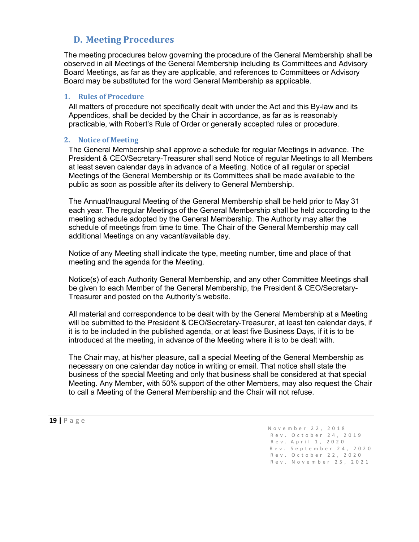# **D. Meeting Procedures**

<span id="page-19-0"></span>The meeting procedures below governing the procedure of the General Membership shall be observed in all Meetings of the General Membership including its Committees and Advisory Board Meetings, as far as they are applicable, and references to Committees or Advisory Board may be substituted for the word General Membership as applicable.

#### <span id="page-19-1"></span>**1. Rules of Procedure**

All matters of procedure not specifically dealt with under the Act and this By-law and its Appendices, shall be decided by the Chair in accordance, as far as is reasonably practicable, with Robert's Rule of Order or generally accepted rules or procedure.

#### <span id="page-19-2"></span>**2. Notice of Meeting**

The General Membership shall approve a schedule for regular Meetings in advance. The President & CEO/Secretary-Treasurer shall send Notice of regular Meetings to all Members at least seven calendar days in advance of a Meeting. Notice of all regular or special Meetings of the General Membership or its Committees shall be made available to the public as soon as possible after its delivery to General Membership.

The Annual/Inaugural Meeting of the General Membership shall be held prior to May 31 each year. The regular Meetings of the General Membership shall be held according to the meeting schedule adopted by the General Membership. The Authority may alter the schedule of meetings from time to time. The Chair of the General Membership may call additional Meetings on any vacant/available day.

Notice of any Meeting shall indicate the type, meeting number, time and place of that meeting and the agenda for the Meeting.

Notice(s) of each Authority General Membership, and any other Committee Meetings shall be given to each Member of the General Membership, the President & CEO/Secretary-Treasurer and posted on the Authority's website.

All material and correspondence to be dealt with by the General Membership at a Meeting will be submitted to the President & CEO/Secretary-Treasurer, at least ten calendar days, if it is to be included in the published agenda, or at least five Business Days, if it is to be introduced at the meeting, in advance of the Meeting where it is to be dealt with.

The Chair may, at his/her pleasure, call a special Meeting of the General Membership as necessary on one calendar day notice in writing or email. That notice shall state the business of the special Meeting and only that business shall be considered at that special Meeting. Any Member, with 50% support of the other Members, may also request the Chair to call a Meeting of the General Membership and the Chair will not refuse.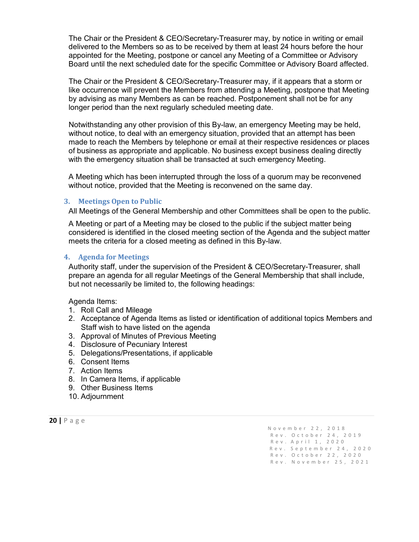The Chair or the President & CEO/Secretary-Treasurer may, by notice in writing or email delivered to the Members so as to be received by them at least 24 hours before the hour appointed for the Meeting, postpone or cancel any Meeting of a Committee or Advisory Board until the next scheduled date for the specific Committee or Advisory Board affected.

The Chair or the President & CEO/Secretary-Treasurer may, if it appears that a storm or like occurrence will prevent the Members from attending a Meeting, postpone that Meeting by advising as many Members as can be reached. Postponement shall not be for any longer period than the next regularly scheduled meeting date.

Notwithstanding any other provision of this By-law, an emergency Meeting may be held, without notice, to deal with an emergency situation, provided that an attempt has been made to reach the Members by telephone or email at their respective residences or places of business as appropriate and applicable. No business except business dealing directly with the emergency situation shall be transacted at such emergency Meeting.

A Meeting which has been interrupted through the loss of a quorum may be reconvened without notice, provided that the Meeting is reconvened on the same day.

#### <span id="page-20-0"></span>**3. Meetings Open to Public**

All Meetings of the General Membership and other Committees shall be open to the public.

A Meeting or part of a Meeting may be closed to the public if the subject matter being considered is identified in the closed meeting section of the Agenda and the subject matter meets the criteria for a closed meeting as defined in this By-law.

#### <span id="page-20-1"></span>**4. Agenda for Meetings**

Authority staff, under the supervision of the President & CEO/Secretary-Treasurer, shall prepare an agenda for all regular Meetings of the General Membership that shall include, but not necessarily be limited to, the following headings:

Agenda Items:

- 1. Roll Call and Mileage
- 2. Acceptance of Agenda Items as listed or identification of additional topics Members and Staff wish to have listed on the agenda
- 3. Approval of Minutes of Previous Meeting
- 4. Disclosure of Pecuniary Interest
- 5. Delegations/Presentations, if applicable
- 6. Consent Items
- 7. Action Items
- 8. In Camera Items, if applicable
- 9. Other Business Items
- 10. Adjournment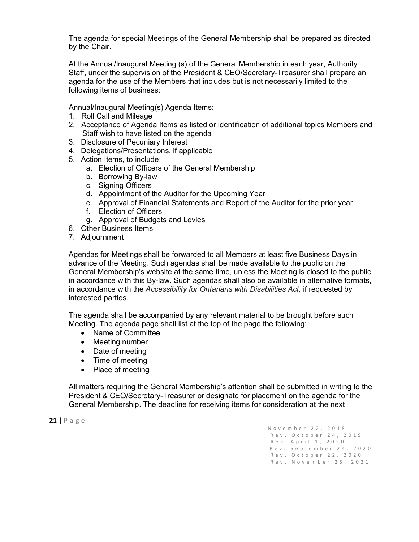The agenda for special Meetings of the General Membership shall be prepared as directed by the Chair.

At the Annual/Inaugural Meeting (s) of the General Membership in each year, Authority Staff, under the supervision of the President & CEO/Secretary-Treasurer shall prepare an agenda for the use of the Members that includes but is not necessarily limited to the following items of business:

Annual/Inaugural Meeting(s) Agenda Items:

- 1. Roll Call and Mileage
- 2. Acceptance of Agenda Items as listed or identification of additional topics Members and Staff wish to have listed on the agenda
- 3. Disclosure of Pecuniary Interest
- 4. Delegations/Presentations, if applicable
- 5. Action Items, to include:
	- a. Election of Officers of the General Membership
	- b. Borrowing By-law
	- c. Signing Officers
	- d. Appointment of the Auditor for the Upcoming Year
	- e. Approval of Financial Statements and Report of the Auditor for the prior year
	- f. Election of Officers
	- g. Approval of Budgets and Levies
- 6. Other Business Items
- 7. Adjournment

Agendas for Meetings shall be forwarded to all Members at least five Business Days in advance of the Meeting. Such agendas shall be made available to the public on the General Membership's website at the same time, unless the Meeting is closed to the public in accordance with this By-law. Such agendas shall also be available in alternative formats, in accordance with the *Accessibility for Ontarians with Disabilities Act,* if requested by interested parties.

The agenda shall be accompanied by any relevant material to be brought before such Meeting. The agenda page shall list at the top of the page the following:

- Name of Committee
- Meeting number
- Date of meeting
- Time of meeting
- Place of meeting

All matters requiring the General Membership's attention shall be submitted in writing to the President & CEO/Secretary-Treasurer or designate for placement on the agenda for the General Membership. The deadline for receiving items for consideration at the next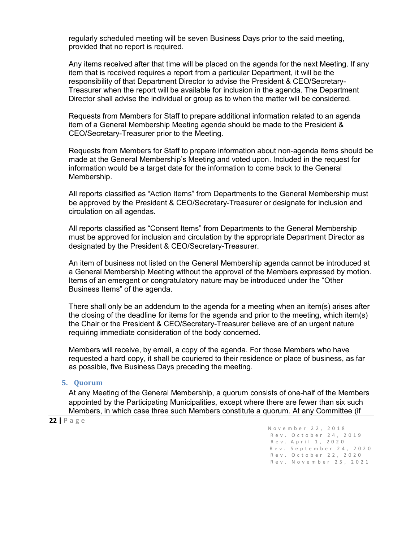regularly scheduled meeting will be seven Business Days prior to the said meeting, provided that no report is required.

Any items received after that time will be placed on the agenda for the next Meeting. If any item that is received requires a report from a particular Department, it will be the responsibility of that Department Director to advise the President & CEO/Secretary-Treasurer when the report will be available for inclusion in the agenda. The Department Director shall advise the individual or group as to when the matter will be considered.

Requests from Members for Staff to prepare additional information related to an agenda item of a General Membership Meeting agenda should be made to the President & CEO/Secretary-Treasurer prior to the Meeting.

Requests from Members for Staff to prepare information about non-agenda items should be made at the General Membership's Meeting and voted upon. Included in the request for information would be a target date for the information to come back to the General Membership.

All reports classified as "Action Items" from Departments to the General Membership must be approved by the President & CEO/Secretary-Treasurer or designate for inclusion and circulation on all agendas.

All reports classified as "Consent Items" from Departments to the General Membership must be approved for inclusion and circulation by the appropriate Department Director as designated by the President & CEO/Secretary-Treasurer.

An item of business not listed on the General Membership agenda cannot be introduced at a General Membership Meeting without the approval of the Members expressed by motion. Items of an emergent or congratulatory nature may be introduced under the "Other Business Items" of the agenda.

There shall only be an addendum to the agenda for a meeting when an item(s) arises after the closing of the deadline for items for the agenda and prior to the meeting, which item(s) the Chair or the President & CEO/Secretary-Treasurer believe are of an urgent nature requiring immediate consideration of the body concerned.

Members will receive, by email, a copy of the agenda. For those Members who have requested a hard copy, it shall be couriered to their residence or place of business, as far as possible, five Business Days preceding the meeting.

#### <span id="page-22-0"></span>**5. Quorum**

At any Meeting of the General Membership, a quorum consists of one-half of the Members appointed by the Participating Municipalities, except where there are fewer than six such Members, in which case three such Members constitute a quorum. At any Committee (if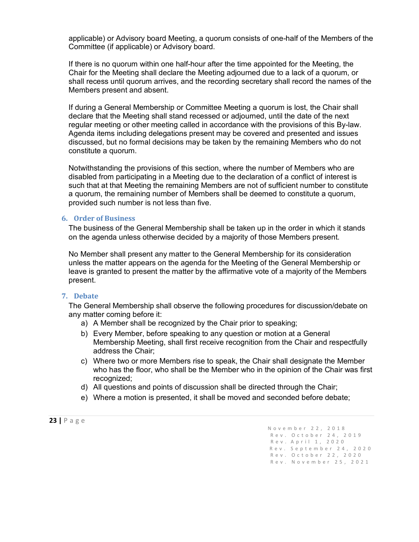applicable) or Advisory board Meeting, a quorum consists of one-half of the Members of the Committee (if applicable) or Advisory board.

If there is no quorum within one half-hour after the time appointed for the Meeting, the Chair for the Meeting shall declare the Meeting adjourned due to a lack of a quorum, or shall recess until quorum arrives, and the recording secretary shall record the names of the Members present and absent.

If during a General Membership or Committee Meeting a quorum is lost, the Chair shall declare that the Meeting shall stand recessed or adjourned, until the date of the next regular meeting or other meeting called in accordance with the provisions of this By-law. Agenda items including delegations present may be covered and presented and issues discussed, but no formal decisions may be taken by the remaining Members who do not constitute a quorum.

Notwithstanding the provisions of this section, where the number of Members who are disabled from participating in a Meeting due to the declaration of a conflict of interest is such that at that Meeting the remaining Members are not of sufficient number to constitute a quorum, the remaining number of Members shall be deemed to constitute a quorum, provided such number is not less than five.

#### <span id="page-23-0"></span>**6. Order of Business**

The business of the General Membership shall be taken up in the order in which it stands on the agenda unless otherwise decided by a majority of those Members present.

No Member shall present any matter to the General Membership for its consideration unless the matter appears on the agenda for the Meeting of the General Membership or leave is granted to present the matter by the affirmative vote of a majority of the Members present.

#### <span id="page-23-1"></span>**7. Debate**

The General Membership shall observe the following procedures for discussion/debate on any matter coming before it:

- a) A Member shall be recognized by the Chair prior to speaking;
- b) Every Member, before speaking to any question or motion at a General Membership Meeting, shall first receive recognition from the Chair and respectfully address the Chair;
- c) Where two or more Members rise to speak, the Chair shall designate the Member who has the floor, who shall be the Member who in the opinion of the Chair was first recognized;
- d) All questions and points of discussion shall be directed through the Chair;
- e) Where a motion is presented, it shall be moved and seconded before debate;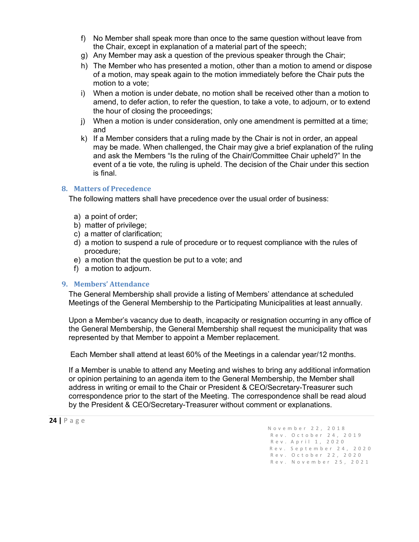- f) No Member shall speak more than once to the same question without leave from the Chair, except in explanation of a material part of the speech;
- g) Any Member may ask a question of the previous speaker through the Chair;
- h) The Member who has presented a motion, other than a motion to amend or dispose of a motion, may speak again to the motion immediately before the Chair puts the motion to a vote;
- i) When a motion is under debate, no motion shall be received other than a motion to amend, to defer action, to refer the question, to take a vote, to adjourn, or to extend the hour of closing the proceedings;
- j) When a motion is under consideration, only one amendment is permitted at a time; and
- k) If a Member considers that a ruling made by the Chair is not in order, an appeal may be made. When challenged, the Chair may give a brief explanation of the ruling and ask the Members "Is the ruling of the Chair/Committee Chair upheld?" In the event of a tie vote, the ruling is upheld. The decision of the Chair under this section is final.

#### <span id="page-24-0"></span>**8. Matters of Precedence**

The following matters shall have precedence over the usual order of business:

- a) a point of order;
- b) matter of privilege;
- c) a matter of clarification;
- d) a motion to suspend a rule of procedure or to request compliance with the rules of procedure;
- e) a motion that the question be put to a vote; and
- f) a motion to adjourn.

#### <span id="page-24-1"></span>**9. Members' Attendance**

The General Membership shall provide a listing of Members' attendance at scheduled Meetings of the General Membership to the Participating Municipalities at least annually.

Upon a Member's vacancy due to death, incapacity or resignation occurring in any office of the General Membership, the General Membership shall request the municipality that was represented by that Member to appoint a Member replacement.

Each Member shall attend at least 60% of the Meetings in a calendar year/12 months.

If a Member is unable to attend any Meeting and wishes to bring any additional information or opinion pertaining to an agenda item to the General Membership, the Member shall address in writing or email to the Chair or President & CEO/Secretary-Treasurer such correspondence prior to the start of the Meeting. The correspondence shall be read aloud by the President & CEO/Secretary-Treasurer without comment or explanations.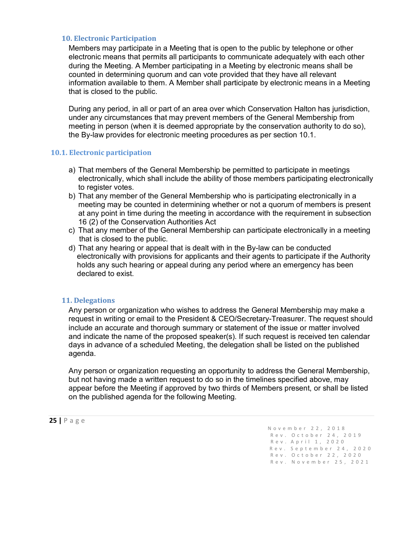#### <span id="page-25-0"></span>**10. Electronic Participation**

Members may participate in a Meeting that is open to the public by telephone or other electronic means that permits all participants to communicate adequately with each other during the Meeting. A Member participating in a Meeting by electronic means shall be counted in determining quorum and can vote provided that they have all relevant information available to them. A Member shall participate by electronic means in a Meeting that is closed to the public.

During any period, in all or part of an area over which Conservation Halton has jurisdiction, under any circumstances that may prevent members of the General Membership from meeting in person (when it is deemed appropriate by the conservation authority to do so), the By-law provides for electronic meeting procedures as per section 10.1.

#### **10.1. Electronic participation**

- a) That members of the General Membership be permitted to participate in meetings electronically, which shall include the ability of those members participating electronically to register votes.
- b) That any member of the General Membership who is participating electronically in a meeting may be counted in determining whether or not a quorum of members is present at any point in time during the meeting in accordance with the requirement in subsection 16 (2) of the Conservation Authorities Act
- c) That any member of the General Membership can participate electronically in a meeting that is closed to the public.
- d) That any hearing or appeal that is dealt with in the By-law can be conducted electronically with provisions for applicants and their agents to participate if the Authority holds any such hearing or appeal during any period where an emergency has been declared to exist.

#### <span id="page-25-1"></span>**11. Delegations**

Any person or organization who wishes to address the General Membership may make a request in writing or email to the President & CEO/Secretary-Treasurer. The request should include an accurate and thorough summary or statement of the issue or matter involved and indicate the name of the proposed speaker(s). If such request is received ten calendar days in advance of a scheduled Meeting, the delegation shall be listed on the published agenda.

Any person or organization requesting an opportunity to address the General Membership, but not having made a written request to do so in the timelines specified above, may appear before the Meeting if approved by two thirds of Members present, or shall be listed on the published agenda for the following Meeting.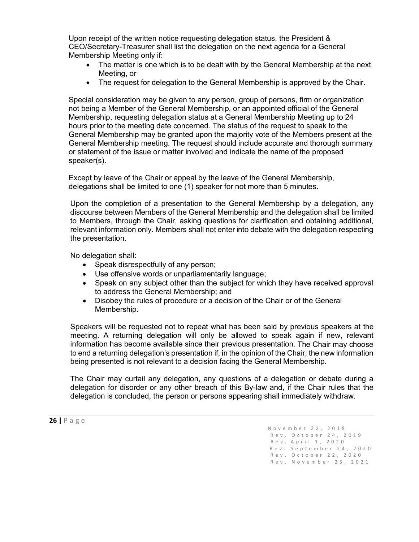Upon receipt of the written notice requesting delegation status, the President & CEO/Secretary-Treasurer shall list the delegation on the next agenda for a General Membership Meeting only if:

- The matter is one which is to be dealt with by the General Membership at the next Meeting, or
- The request for delegation to the General Membership is approved by the Chair.

Special consideration may be given to any person, group of persons, firm or organization not being a Member of the General Membership, or an appointed official of the General Membership, requesting delegation status at a General Membership Meeting up to 24 hours prior to the meeting date concerned. The status of the request to speak to the General Membership may be granted upon the majority vote of the Members present at the General Membership meeting. The request should include accurate and thorough summary or statement of the issue or matter involved and indicate the name of the proposed speaker(s).

Except by leave of the Chair or appeal by the leave of the General Membership, delegations shall be limited to one (1) speaker for not more than 5 minutes.

Upon the completion of a presentation to the General Membership by a delegation, any discourse between Members of the General Membership and the delegation shall be limited to Members, through the Chair, asking questions for clarification and obtaining additional, relevant information only. Members shall not enter into debate with the delegation respecting the presentation.

No delegation shall:

- Speak disrespectfully of any person;
- Use offensive words or unparliamentarily language;
- Speak on any subject other than the subject for which they have received approval to address the General Membership; and
- Disobey the rules of procedure or a decision of the Chair or of the General Membership.

Speakers will be requested not to repeat what has been said by previous speakers at the meeting. A returning delegation will only be allowed to speak again if new, relevant information has become available since their previous presentation. The Chair may choose to end a returning delegation's presentation if, in the opinion of the Chair, the new information being presented is not relevant to a decision facing the General Membership.

The Chair may curtail any delegation, any questions of a delegation or debate during a delegation for disorder or any other breach of this By-law and, if the Chair rules that the delegation is concluded, the person or persons appearing shall immediately withdraw.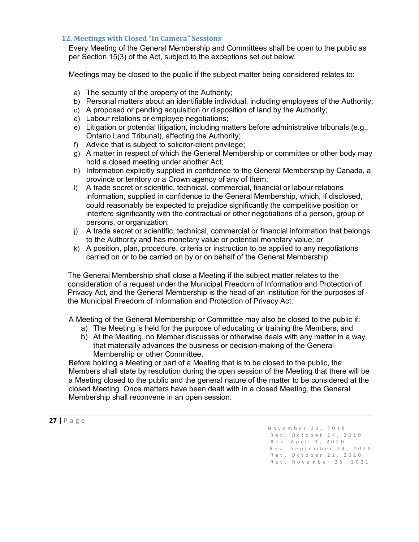#### <span id="page-27-0"></span>**12. Meetings with Closed "In Camera" Sessions**

Every Meeting of the General Membership and Committees shall be open to the public as per Section 15(3) of the Act, subject to the exceptions set out below.

Meetings may be closed to the public if the subject matter being considered relates to:

- a) The security of the property of the Authority;
- b) Personal matters about an identifiable individual, including employees of the Authority;
- c) A proposed or pending acquisition or disposition of land by the Authority;
- d) Labour relations or employee negotiations;
- e) Litigation or potential litigation, including matters before administrative tribunals (e.g., Ontario Land Tribunal), affecting the Authority;
- f) Advice that is subject to solicitor-client privilege;
- g) A matter in respect of which the General Membership or committee or other body may hold a closed meeting under another Act;
- h) Information explicitly supplied in confidence to the General Membership by Canada, a province or territory or a Crown agency of any of them;
- i) A trade secret or scientific, technical, commercial, financial or labour relations information, supplied in confidence to the General Membership, which, if disclosed, could reasonably be expected to prejudice significantly the competitive position or interfere significantly with the contractual or other negotiations of a person, group of persons, or organization;
- j) A trade secret or scientific, technical, commercial or financial information that belongs to the Authority and has monetary value or potential monetary value; or
- k) A position, plan, procedure, criteria or instruction to be applied to any negotiations carried on or to be carried on by or on behalf of the General Membership.

The General Membership shall close a Meeting if the subject matter relates to the consideration of a request under the Municipal Freedom of Information and Protection of Privacy Act, and the General Membership is the head of an institution for the purposes of the Municipal Freedom of Information and Protection of Privacy Act.

A Meeting of the General Membership or Committee may also be closed to the public if:

- a) The Meeting is held for the purpose of educating or training the Members, and
- b) At the Meeting, no Member discusses or otherwise deals with any matter in a way that materially advances the business or decision-making of the General Membership or other Committee.

Before holding a Meeting or part of a Meeting that is to be closed to the public, the Members shall state by resolution during the open session of the Meeting that there will be a Meeting closed to the public and the general nature of the matter to be considered at the closed Meeting. Once matters have been dealt with in a closed Meeting, the General Membership shall reconvene in an open session.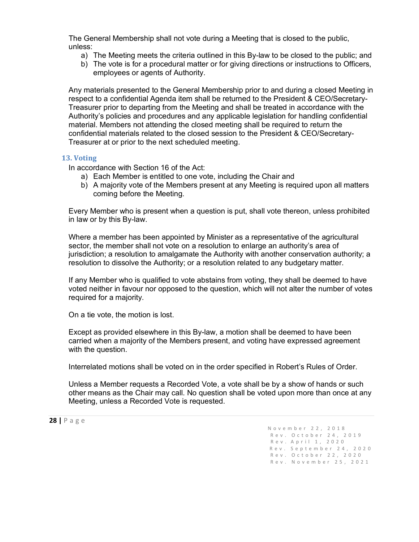The General Membership shall not vote during a Meeting that is closed to the public, unless:

- a) The Meeting meets the criteria outlined in this By-law to be closed to the public; and
- b) The vote is for a procedural matter or for giving directions or instructions to Officers, employees or agents of Authority.

Any materials presented to the General Membership prior to and during a closed Meeting in respect to a confidential Agenda item shall be returned to the President & CEO/Secretary-Treasurer prior to departing from the Meeting and shall be treated in accordance with the Authority's policies and procedures and any applicable legislation for handling confidential material. Members not attending the closed meeting shall be required to return the confidential materials related to the closed session to the President & CEO/Secretary-Treasurer at or prior to the next scheduled meeting.

#### <span id="page-28-0"></span>**13. Voting**

In accordance with Section 16 of the Act:

- a) Each Member is entitled to one vote, including the Chair and
- b) A majority vote of the Members present at any Meeting is required upon all matters coming before the Meeting.

Every Member who is present when a question is put, shall vote thereon, unless prohibited in law or by this By-law.

Where a member has been appointed by Minister as a representative of the agricultural sector, the member shall not vote on a resolution to enlarge an authority's area of jurisdiction; a resolution to amalgamate the Authority with another conservation authority; a resolution to dissolve the Authority; or a resolution related to any budgetary matter.

If any Member who is qualified to vote abstains from voting, they shall be deemed to have voted neither in favour nor opposed to the question, which will not alter the number of votes required for a majority.

On a tie vote, the motion is lost.

Except as provided elsewhere in this By-law, a motion shall be deemed to have been carried when a majority of the Members present, and voting have expressed agreement with the question.

Interrelated motions shall be voted on in the order specified in Robert's Rules of Order.

Unless a Member requests a Recorded Vote, a vote shall be by a show of hands or such other means as the Chair may call. No question shall be voted upon more than once at any Meeting, unless a Recorded Vote is requested.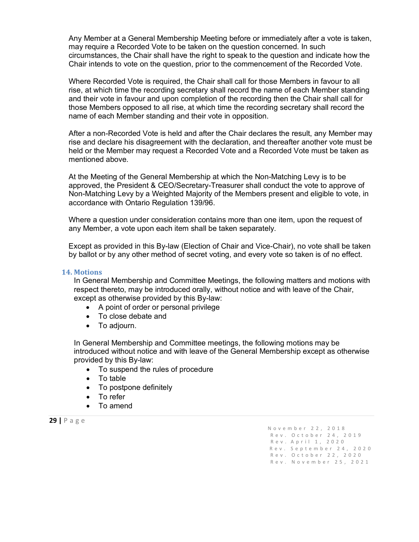Any Member at a General Membership Meeting before or immediately after a vote is taken, may require a Recorded Vote to be taken on the question concerned. In such circumstances, the Chair shall have the right to speak to the question and indicate how the Chair intends to vote on the question, prior to the commencement of the Recorded Vote.

Where Recorded Vote is required, the Chair shall call for those Members in favour to all rise, at which time the recording secretary shall record the name of each Member standing and their vote in favour and upon completion of the recording then the Chair shall call for those Members opposed to all rise, at which time the recording secretary shall record the name of each Member standing and their vote in opposition.

After a non-Recorded Vote is held and after the Chair declares the result, any Member may rise and declare his disagreement with the declaration, and thereafter another vote must be held or the Member may request a Recorded Vote and a Recorded Vote must be taken as mentioned above.

At the Meeting of the General Membership at which the Non-Matching Levy is to be approved, the President & CEO/Secretary-Treasurer shall conduct the vote to approve of Non-Matching Levy by a Weighted Majority of the Members present and eligible to vote, in accordance with Ontario Regulation 139/96.

Where a question under consideration contains more than one item, upon the request of any Member, a vote upon each item shall be taken separately.

Except as provided in this By-law (Election of Chair and Vice-Chair), no vote shall be taken by ballot or by any other method of secret voting, and every vote so taken is of no effect.

#### <span id="page-29-0"></span>**14. Motions**

In General Membership and Committee Meetings, the following matters and motions with respect thereto, may be introduced orally, without notice and with leave of the Chair, except as otherwise provided by this By-law:

- A point of order or personal privilege
- To close debate and
- To adjourn.

In General Membership and Committee meetings, the following motions may be introduced without notice and with leave of the General Membership except as otherwise provided by this By-law:

- To suspend the rules of procedure
- To table
- To postpone definitely
- To refer
- To amend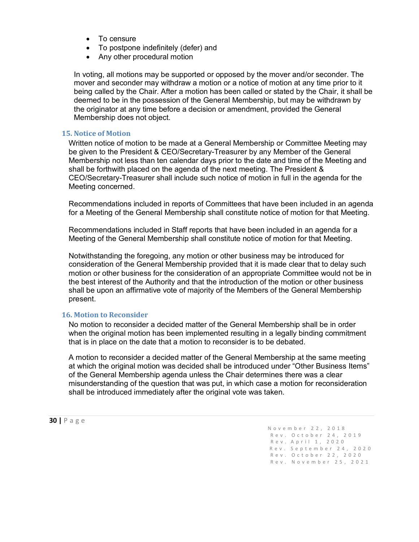- To censure
- To postpone indefinitely (defer) and
- Any other procedural motion

In voting, all motions may be supported or opposed by the mover and/or seconder. The mover and seconder may withdraw a motion or a notice of motion at any time prior to it being called by the Chair. After a motion has been called or stated by the Chair, it shall be deemed to be in the possession of the General Membership, but may be withdrawn by the originator at any time before a decision or amendment, provided the General Membership does not object.

#### <span id="page-30-0"></span>**15. Notice of Motion**

Written notice of motion to be made at a General Membership or Committee Meeting may be given to the President & CEO/Secretary-Treasurer by any Member of the General Membership not less than ten calendar days prior to the date and time of the Meeting and shall be forthwith placed on the agenda of the next meeting. The President & CEO/Secretary-Treasurer shall include such notice of motion in full in the agenda for the Meeting concerned.

Recommendations included in reports of Committees that have been included in an agenda for a Meeting of the General Membership shall constitute notice of motion for that Meeting.

Recommendations included in Staff reports that have been included in an agenda for a Meeting of the General Membership shall constitute notice of motion for that Meeting.

Notwithstanding the foregoing, any motion or other business may be introduced for consideration of the General Membership provided that it is made clear that to delay such motion or other business for the consideration of an appropriate Committee would not be in the best interest of the Authority and that the introduction of the motion or other business shall be upon an affirmative vote of majority of the Members of the General Membership present.

#### <span id="page-30-1"></span>**16. Motion to Reconsider**

No motion to reconsider a decided matter of the General Membership shall be in order when the original motion has been implemented resulting in a legally binding commitment that is in place on the date that a motion to reconsider is to be debated.

A motion to reconsider a decided matter of the General Membership at the same meeting at which the original motion was decided shall be introduced under "Other Business Items" of the General Membership agenda unless the Chair determines there was a clear misunderstanding of the question that was put, in which case a motion for reconsideration shall be introduced immediately after the original vote was taken.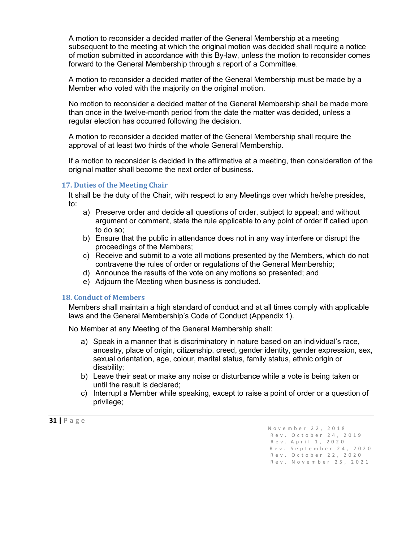A motion to reconsider a decided matter of the General Membership at a meeting subsequent to the meeting at which the original motion was decided shall require a notice of motion submitted in accordance with this By-law, unless the motion to reconsider comes forward to the General Membership through a report of a Committee.

A motion to reconsider a decided matter of the General Membership must be made by a Member who voted with the majority on the original motion.

No motion to reconsider a decided matter of the General Membership shall be made more than once in the twelve-month period from the date the matter was decided, unless a regular election has occurred following the decision.

A motion to reconsider a decided matter of the General Membership shall require the approval of at least two thirds of the whole General Membership.

If a motion to reconsider is decided in the affirmative at a meeting, then consideration of the original matter shall become the next order of business.

#### <span id="page-31-0"></span>**17. Duties of the Meeting Chair**

It shall be the duty of the Chair, with respect to any Meetings over which he/she presides, to:

- a) Preserve order and decide all questions of order, subject to appeal; and without argument or comment, state the rule applicable to any point of order if called upon to do so;
- b) Ensure that the public in attendance does not in any way interfere or disrupt the proceedings of the Members;
- c) Receive and submit to a vote all motions presented by the Members, which do not contravene the rules of order or regulations of the General Membership;
- d) Announce the results of the vote on any motions so presented; and
- e) Adjourn the Meeting when business is concluded.

#### <span id="page-31-1"></span>**18. Conduct of Members**

Members shall maintain a high standard of conduct and at all times comply with applicable laws and the General Membership's Code of Conduct (Appendix 1).

No Member at any Meeting of the General Membership shall:

- a) Speak in a manner that is discriminatory in nature based on an individual's race, ancestry, place of origin, citizenship, creed, gender identity, gender expression, sex, sexual orientation, age, colour, marital status, family status, ethnic origin or disability;
- b) Leave their seat or make any noise or disturbance while a vote is being taken or until the result is declared;
- c) Interrupt a Member while speaking, except to raise a point of order or a question of privilege;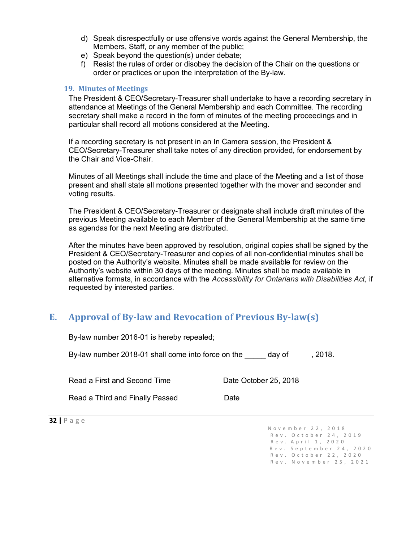- d) Speak disrespectfully or use offensive words against the General Membership, the Members, Staff, or any member of the public;
- e) Speak beyond the question(s) under debate;
- f) Resist the rules of order or disobey the decision of the Chair on the questions or order or practices or upon the interpretation of the By-law.

#### <span id="page-32-0"></span>**19. Minutes of Meetings**

The President & CEO/Secretary-Treasurer shall undertake to have a recording secretary in attendance at Meetings of the General Membership and each Committee. The recording secretary shall make a record in the form of minutes of the meeting proceedings and in particular shall record all motions considered at the Meeting.

If a recording secretary is not present in an In Camera session, the President & CEO/Secretary-Treasurer shall take notes of any direction provided, for endorsement by the Chair and Vice-Chair.

Minutes of all Meetings shall include the time and place of the Meeting and a list of those present and shall state all motions presented together with the mover and seconder and voting results.

The President & CEO/Secretary-Treasurer or designate shall include draft minutes of the previous Meeting available to each Member of the General Membership at the same time as agendas for the next Meeting are distributed.

After the minutes have been approved by resolution, original copies shall be signed by the President & CEO/Secretary-Treasurer and copies of all non-confidential minutes shall be posted on the Authority's website. Minutes shall be made available for review on the Authority's website within 30 days of the meeting. Minutes shall be made available in alternative formats, in accordance with the *Accessibility for Ontarians with Disabilities Act,* if requested by interested parties.

# <span id="page-32-1"></span>**E. Approval of By-law and Revocation of Previous By-law(s)**

| By-law number 2018-01 shall come into force on the<br>,2018.<br>day of |                       |  |
|------------------------------------------------------------------------|-----------------------|--|
| Read a First and Second Time                                           | Date October 25, 2018 |  |
| Read a Third and Finally Passed                                        | Date                  |  |

By-law number 2016-01 is hereby repealed;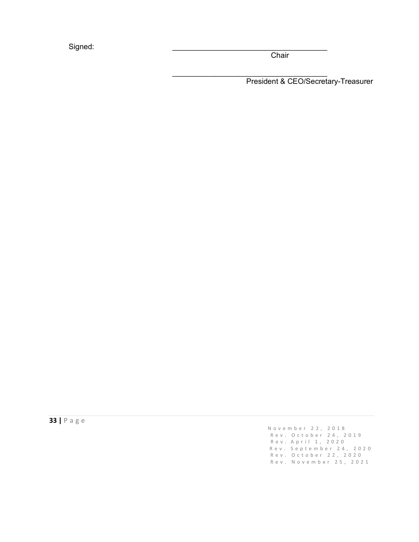Signed:

**Chair** 

 $\mathcal{L}_\text{max}$  , where  $\mathcal{L}_\text{max}$  , we have the set of the set of the set of the set of the set of the set of the set of the set of the set of the set of the set of the set of the set of the set of the set of the set of President & CEO/Secretary-Treasurer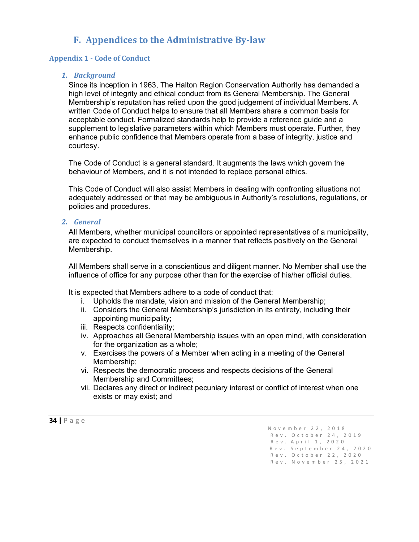# **F. Appendices to the Administrative By-law**

#### <span id="page-34-1"></span><span id="page-34-0"></span>**Appendix 1 - Code of Conduct**

#### *1. Background*

Since its inception in 1963, The Halton Region Conservation Authority has demanded a high level of integrity and ethical conduct from its General Membership. The General Membership's reputation has relied upon the good judgement of individual Members. A written Code of Conduct helps to ensure that all Members share a common basis for acceptable conduct. Formalized standards help to provide a reference guide and a supplement to legislative parameters within which Members must operate. Further, they enhance public confidence that Members operate from a base of integrity, justice and courtesy.

The Code of Conduct is a general standard. It augments the laws which govern the behaviour of Members, and it is not intended to replace personal ethics.

This Code of Conduct will also assist Members in dealing with confronting situations not adequately addressed or that may be ambiguous in Authority's resolutions, regulations, or policies and procedures.

#### *2. General*

All Members, whether municipal councillors or appointed representatives of a municipality, are expected to conduct themselves in a manner that reflects positively on the General Membership.

All Members shall serve in a conscientious and diligent manner. No Member shall use the influence of office for any purpose other than for the exercise of his/her official duties.

It is expected that Members adhere to a code of conduct that:

- i. Upholds the mandate, vision and mission of the General Membership;
- ii. Considers the General Membership's jurisdiction in its entirety, including their appointing municipality;
- iii. Respects confidentiality;
- iv. Approaches all General Membership issues with an open mind, with consideration for the organization as a whole;
- v. Exercises the powers of a Member when acting in a meeting of the General Membership;
- vi. Respects the democratic process and respects decisions of the General Membership and Committees;
- vii. Declares any direct or indirect pecuniary interest or conflict of interest when one exists or may exist; and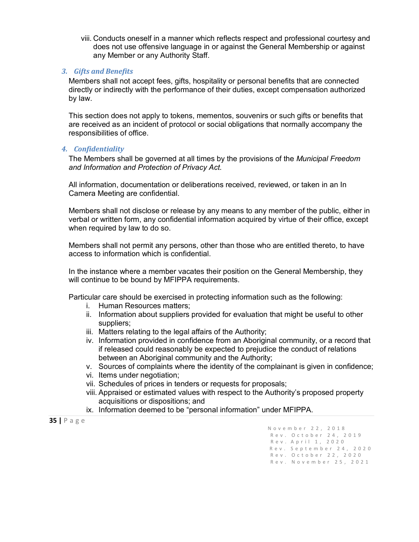viii. Conducts oneself in a manner which reflects respect and professional courtesy and does not use offensive language in or against the General Membership or against any Member or any Authority Staff.

#### *3. Gifts and Benefits*

Members shall not accept fees, gifts, hospitality or personal benefits that are connected directly or indirectly with the performance of their duties, except compensation authorized by law.

This section does not apply to tokens, mementos, souvenirs or such gifts or benefits that are received as an incident of protocol or social obligations that normally accompany the responsibilities of office.

#### *4. Confidentiality*

The Members shall be governed at all times by the provisions of the *Municipal Freedom and Information and Protection of Privacy Act*.

All information, documentation or deliberations received, reviewed, or taken in an In Camera Meeting are confidential.

Members shall not disclose or release by any means to any member of the public, either in verbal or written form, any confidential information acquired by virtue of their office, except when required by law to do so.

Members shall not permit any persons, other than those who are entitled thereto, to have access to information which is confidential.

In the instance where a member vacates their position on the General Membership, they will continue to be bound by MFIPPA requirements.

Particular care should be exercised in protecting information such as the following:

- i. Human Resources matters;
- ii. Information about suppliers provided for evaluation that might be useful to other suppliers;
- iii. Matters relating to the legal affairs of the Authority;
- iv. Information provided in confidence from an Aboriginal community, or a record that if released could reasonably be expected to prejudice the conduct of relations between an Aboriginal community and the Authority;
- v. Sources of complaints where the identity of the complainant is given in confidence;
- vi. Items under negotiation;
- vii. Schedules of prices in tenders or requests for proposals;
- viii. Appraised or estimated values with respect to the Authority's proposed property acquisitions or dispositions; and
- ix. Information deemed to be "personal information" under MFIPPA.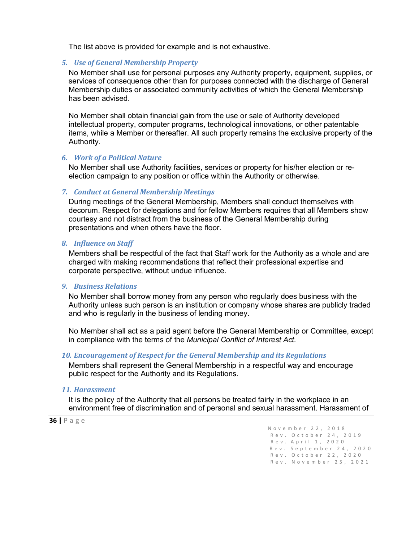The list above is provided for example and is not exhaustive.

#### *5. Use of General Membership Property*

No Member shall use for personal purposes any Authority property, equipment, supplies, or services of consequence other than for purposes connected with the discharge of General Membership duties or associated community activities of which the General Membership has been advised.

No Member shall obtain financial gain from the use or sale of Authority developed intellectual property, computer programs, technological innovations, or other patentable items, while a Member or thereafter. All such property remains the exclusive property of the Authority.

#### *6. Work of a Political Nature*

No Member shall use Authority facilities, services or property for his/her election or reelection campaign to any position or office within the Authority or otherwise.

#### *7. Conduct at General Membership Meetings*

During meetings of the General Membership, Members shall conduct themselves with decorum. Respect for delegations and for fellow Members requires that all Members show courtesy and not distract from the business of the General Membership during presentations and when others have the floor.

#### *8. Influence on Staff*

Members shall be respectful of the fact that Staff work for the Authority as a whole and are charged with making recommendations that reflect their professional expertise and corporate perspective, without undue influence.

#### *9. Business Relations*

No Member shall borrow money from any person who regularly does business with the Authority unless such person is an institution or company whose shares are publicly traded and who is regularly in the business of lending money.

No Member shall act as a paid agent before the General Membership or Committee, except in compliance with the terms of the *Municipal Conflict of Interest Act.*

#### *10. Encouragement of Respect for the General Membership and its Regulations*

Members shall represent the General Membership in a respectful way and encourage public respect for the Authority and its Regulations.

#### *11. Harassment*

It is the policy of the Authority that all persons be treated fairly in the workplace in an environment free of discrimination and of personal and sexual harassment. Harassment of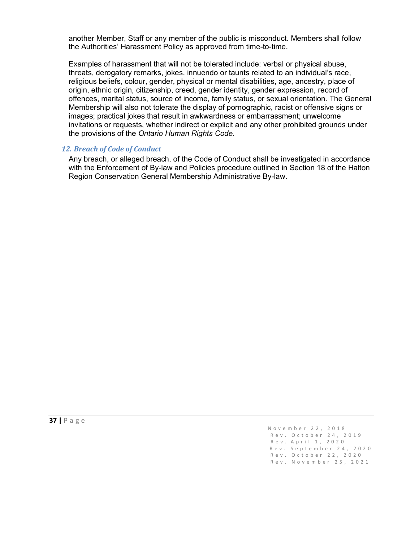another Member, Staff or any member of the public is misconduct. Members shall follow the Authorities' Harassment Policy as approved from time-to-time.

Examples of harassment that will not be tolerated include: verbal or physical abuse, threats, derogatory remarks, jokes, innuendo or taunts related to an individual's race, religious beliefs, colour, gender, physical or mental disabilities, age, ancestry, place of origin, ethnic origin, citizenship, creed, gender identity, gender expression, record of offences, marital status, source of income, family status, or sexual orientation. The General Membership will also not tolerate the display of pornographic, racist or offensive signs or images; practical jokes that result in awkwardness or embarrassment; unwelcome invitations or requests, whether indirect or explicit and any other prohibited grounds under the provisions of the *Ontario Human Rights Code*.

#### *12. Breach of Code of Conduct*

Any breach, or alleged breach, of the Code of Conduct shall be investigated in accordance with the Enforcement of By-law and Policies procedure outlined in Section 18 of the Halton Region Conservation General Membership Administrative By-law.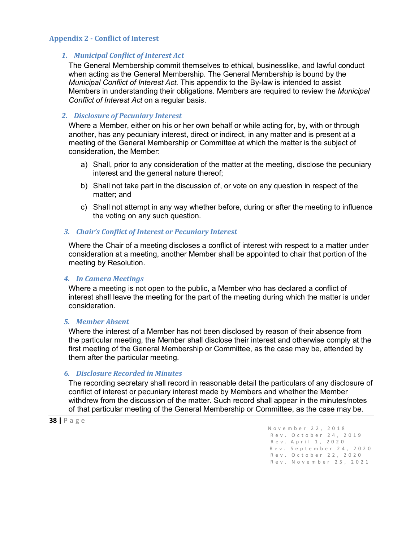#### <span id="page-38-0"></span>**Appendix 2 - Conflict of Interest**

#### *1. Municipal Conflict of Interest Act*

The General Membership commit themselves to ethical, businesslike, and lawful conduct when acting as the General Membership. The General Membership is bound by the *Municipal Conflict of Interest Act*. This appendix to the By-law is intended to assist Members in understanding their obligations. Members are required to review the *Municipal Conflict of Interest Act* on a regular basis.

#### *2. Disclosure of Pecuniary Interest*

Where a Member, either on his or her own behalf or while acting for, by, with or through another, has any pecuniary interest, direct or indirect, in any matter and is present at a meeting of the General Membership or Committee at which the matter is the subject of consideration, the Member:

- a) Shall, prior to any consideration of the matter at the meeting, disclose the pecuniary interest and the general nature thereof;
- b) Shall not take part in the discussion of, or vote on any question in respect of the matter; and
- c) Shall not attempt in any way whether before, during or after the meeting to influence the voting on any such question.

#### *3. Chair's Conflict of Interest or Pecuniary Interest*

Where the Chair of a meeting discloses a conflict of interest with respect to a matter under consideration at a meeting, another Member shall be appointed to chair that portion of the meeting by Resolution.

#### *4. In Camera Meetings*

Where a meeting is not open to the public, a Member who has declared a conflict of interest shall leave the meeting for the part of the meeting during which the matter is under consideration.

#### *5. Member Absent*

Where the interest of a Member has not been disclosed by reason of their absence from the particular meeting, the Member shall disclose their interest and otherwise comply at the first meeting of the General Membership or Committee, as the case may be, attended by them after the particular meeting.

#### *6. Disclosure Recorded in Minutes*

The recording secretary shall record in reasonable detail the particulars of any disclosure of conflict of interest or pecuniary interest made by Members and whether the Member withdrew from the discussion of the matter. Such record shall appear in the minutes/notes of that particular meeting of the General Membership or Committee, as the case may be.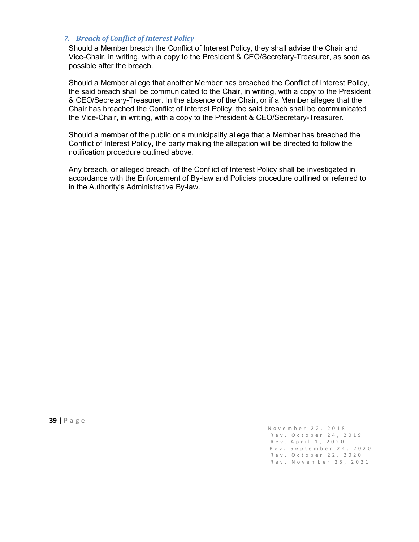#### *7. Breach of Conflict of Interest Policy*

Should a Member breach the Conflict of Interest Policy, they shall advise the Chair and Vice-Chair, in writing, with a copy to the President & CEO/Secretary-Treasurer, as soon as possible after the breach.

Should a Member allege that another Member has breached the Conflict of Interest Policy, the said breach shall be communicated to the Chair, in writing, with a copy to the President & CEO/Secretary-Treasurer. In the absence of the Chair, or if a Member alleges that the Chair has breached the Conflict of Interest Policy, the said breach shall be communicated the Vice-Chair, in writing, with a copy to the President & CEO/Secretary-Treasurer.

Should a member of the public or a municipality allege that a Member has breached the Conflict of Interest Policy, the party making the allegation will be directed to follow the notification procedure outlined above.

Any breach, or alleged breach, of the Conflict of Interest Policy shall be investigated in accordance with the Enforcement of By-law and Policies procedure outlined or referred to in the Authority's Administrative By-law.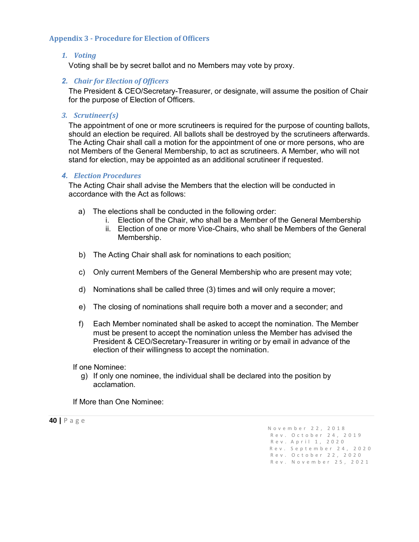#### <span id="page-40-0"></span>**Appendix 3 - Procedure for Election of Officers**

#### *1. Voting*

Voting shall be by secret ballot and no Members may vote by proxy.

#### *2. Chair for Election of Officers*

The President & CEO/Secretary-Treasurer, or designate, will assume the position of Chair for the purpose of Election of Officers.

#### *3. Scrutineer(s)*

The appointment of one or more scrutineers is required for the purpose of counting ballots, should an election be required. All ballots shall be destroyed by the scrutineers afterwards. The Acting Chair shall call a motion for the appointment of one or more persons, who are not Members of the General Membership, to act as scrutineers. A Member, who will not stand for election, may be appointed as an additional scrutineer if requested.

#### *4. Election Procedures*

The Acting Chair shall advise the Members that the election will be conducted in accordance with the Act as follows:

- a) The elections shall be conducted in the following order:
	- i. Election of the Chair, who shall be a Member of the General Membership
	- ii. Election of one or more Vice-Chairs, who shall be Members of the General Membership.
- b) The Acting Chair shall ask for nominations to each position;
- c) Only current Members of the General Membership who are present may vote;
- d) Nominations shall be called three (3) times and will only require a mover;
- e) The closing of nominations shall require both a mover and a seconder; and
- f) Each Member nominated shall be asked to accept the nomination. The Member must be present to accept the nomination unless the Member has advised the President & CEO/Secretary-Treasurer in writing or by email in advance of the election of their willingness to accept the nomination.

If one Nominee:

g) If only one nominee, the individual shall be declared into the position by acclamation.

If More than One Nominee: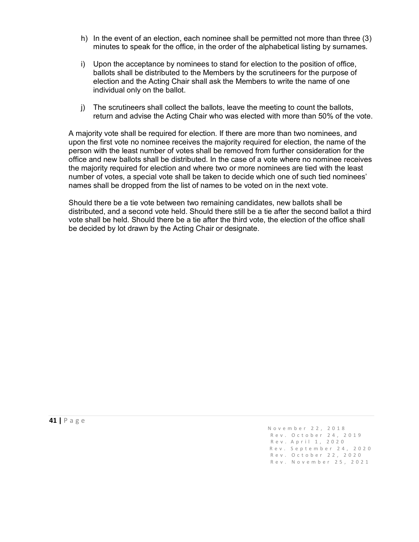- h) In the event of an election, each nominee shall be permitted not more than three (3) minutes to speak for the office, in the order of the alphabetical listing by surnames.
- i) Upon the acceptance by nominees to stand for election to the position of office, ballots shall be distributed to the Members by the scrutineers for the purpose of election and the Acting Chair shall ask the Members to write the name of one individual only on the ballot.
- j) The scrutineers shall collect the ballots, leave the meeting to count the ballots, return and advise the Acting Chair who was elected with more than 50% of the vote.

A majority vote shall be required for election. If there are more than two nominees, and upon the first vote no nominee receives the majority required for election, the name of the person with the least number of votes shall be removed from further consideration for the office and new ballots shall be distributed. In the case of a vote where no nominee receives the majority required for election and where two or more nominees are tied with the least number of votes, a special vote shall be taken to decide which one of such tied nominees' names shall be dropped from the list of names to be voted on in the next vote.

Should there be a tie vote between two remaining candidates, new ballots shall be distributed, and a second vote held. Should there still be a tie after the second ballot a third vote shall be held. Should there be a tie after the third vote, the election of the office shall be decided by lot drawn by the Acting Chair or designate.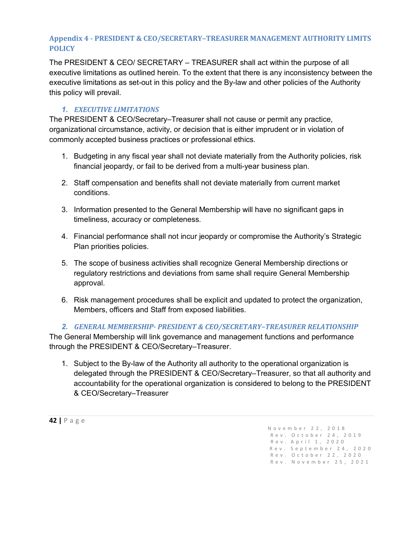## <span id="page-42-0"></span>**Appendix 4 - PRESIDENT & CEO/SECRETARY–TREASURER MANAGEMENT AUTHORITY LIMITS POLICY**

The PRESIDENT & CEO/ SECRETARY – TREASURER shall act within the purpose of all executive limitations as outlined herein. To the extent that there is any inconsistency between the executive limitations as set-out in this policy and the By-law and other policies of the Authority this policy will prevail.

## *1. EXECUTIVE LIMITATIONS*

The PRESIDENT & CEO/Secretary–Treasurer shall not cause or permit any practice, organizational circumstance, activity, or decision that is either imprudent or in violation of commonly accepted business practices or professional ethics.

- 1. Budgeting in any fiscal year shall not deviate materially from the Authority policies, risk financial jeopardy, or fail to be derived from a multi-year business plan.
- 2. Staff compensation and benefits shall not deviate materially from current market conditions.
- 3. Information presented to the General Membership will have no significant gaps in timeliness, accuracy or completeness.
- 4. Financial performance shall not incur jeopardy or compromise the Authority's Strategic Plan priorities policies.
- 5. The scope of business activities shall recognize General Membership directions or regulatory restrictions and deviations from same shall require General Membership approval.
- 6. Risk management procedures shall be explicit and updated to protect the organization, Members, officers and Staff from exposed liabilities.

### *2. GENERAL MEMBERSHIP- PRESIDENT & CEO/SECRETARY–TREASURER RELATIONSHIP*

The General Membership will link governance and management functions and performance through the PRESIDENT & CEO/Secretary–Treasurer.

1. Subject to the By-law of the Authority all authority to the operational organization is delegated through the PRESIDENT & CEO/Secretary–Treasurer, so that all authority and accountability for the operational organization is considered to belong to the PRESIDENT & CEO/Secretary–Treasurer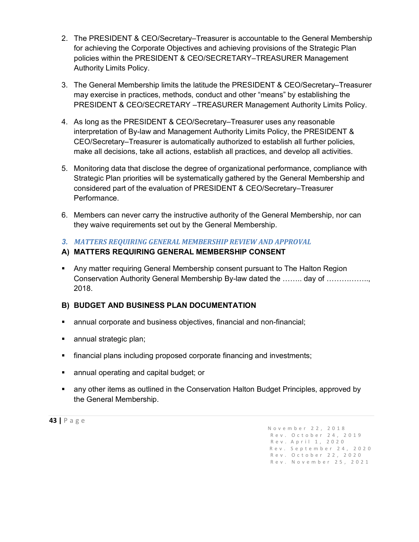- 2. The PRESIDENT & CEO/Secretary–Treasurer is accountable to the General Membership for achieving the Corporate Objectives and achieving provisions of the Strategic Plan policies within the PRESIDENT & CEO/SECRETARY–TREASURER Management Authority Limits Policy.
- 3. The General Membership limits the latitude the PRESIDENT & CEO/Secretary–Treasurer may exercise in practices, methods, conduct and other "means" by establishing the PRESIDENT & CEO/SECRETARY –TREASURER Management Authority Limits Policy.
- 4. As long as the PRESIDENT & CEO/Secretary–Treasurer uses any reasonable interpretation of By-law and Management Authority Limits Policy, the PRESIDENT & CEO/Secretary–Treasurer is automatically authorized to establish all further policies, make all decisions, take all actions, establish all practices, and develop all activities.
- 5. Monitoring data that disclose the degree of organizational performance, compliance with Strategic Plan priorities will be systematically gathered by the General Membership and considered part of the evaluation of PRESIDENT & CEO/Secretary–Treasurer Performance.
- 6. Members can never carry the instructive authority of the General Membership, nor can they waive requirements set out by the General Membership.

## *3. MATTERS REQUIRING GENERAL MEMBERSHIP REVIEW AND APPROVAL*

# **A) MATTERS REQUIRING GENERAL MEMBERSHIP CONSENT**

 Any matter requiring General Membership consent pursuant to The Halton Region Conservation Authority General Membership By-law dated the …….. day of …………….., 2018.

# **B) BUDGET AND BUSINESS PLAN DOCUMENTATION**

- annual corporate and business objectives, financial and non-financial;
- **annual strategic plan;**
- financial plans including proposed corporate financing and investments;
- **EXEDENT** annual operating and capital budget; or
- any other items as outlined in the Conservation Halton Budget Principles, approved by the General Membership.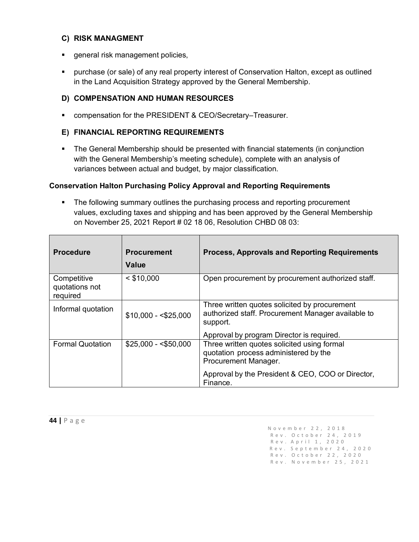#### **C) RISK MANAGMENT**

- **general risk management policies,**
- purchase (or sale) of any real property interest of Conservation Halton, except as outlined in the Land Acquisition Strategy approved by the General Membership.

## **D) COMPENSATION AND HUMAN RESOURCES**

■ compensation for the PRESIDENT & CEO/Secretary–Treasurer.

#### **E) FINANCIAL REPORTING REQUIREMENTS**

• The General Membership should be presented with financial statements (in conjunction with the General Membership's meeting schedule), complete with an analysis of variances between actual and budget, by major classification.

#### **Conservation Halton Purchasing Policy Approval and Reporting Requirements**

**The following summary outlines the purchasing process and reporting procurement** values, excluding taxes and shipping and has been approved by the General Membership on November 25, 2021 Report # 02 18 06, Resolution CHBD 08 03:

| <b>Procedure</b>                          | <b>Procurement</b><br>Value | <b>Process, Approvals and Reporting Requirements</b>                                                            |
|-------------------------------------------|-----------------------------|-----------------------------------------------------------------------------------------------------------------|
| Competitive<br>quotations not<br>required | $<$ \$10,000                | Open procurement by procurement authorized staff.                                                               |
| Informal quotation                        | $$10,000 - $25,000$         | Three written quotes solicited by procurement<br>authorized staff. Procurement Manager available to<br>support. |
| <b>Formal Quotation</b>                   | $$25,000 - $50,000$         | Approval by program Director is required.<br>Three written quotes solicited using formal                        |
|                                           |                             | quotation process administered by the<br>Procurement Manager.                                                   |
|                                           |                             | Approval by the President & CEO, COO or Director,<br>Finance.                                                   |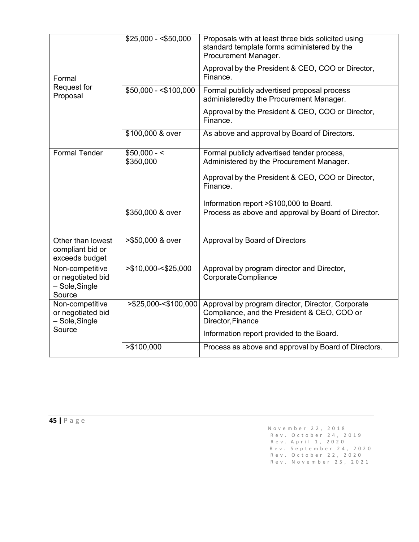|                                                                  | $$25,000 - $50,000$        | Proposals with at least three bids solicited using<br>standard template forms administered by the<br>Procurement Manager. |
|------------------------------------------------------------------|----------------------------|---------------------------------------------------------------------------------------------------------------------------|
| Formal                                                           |                            | Approval by the President & CEO, COO or Director,<br>Finance.                                                             |
| Request for<br>Proposal                                          | $$50,000 - $100,000$       | Formal publicly advertised proposal process<br>administeredby the Procurement Manager.                                    |
|                                                                  |                            | Approval by the President & CEO, COO or Director,<br>Finance.                                                             |
|                                                                  | \$100,000 & over           | As above and approval by Board of Directors.                                                                              |
| <b>Formal Tender</b>                                             | $$50,000 - <$<br>\$350,000 | Formal publicly advertised tender process,<br>Administered by the Procurement Manager.                                    |
|                                                                  |                            | Approval by the President & CEO, COO or Director,<br>Finance.                                                             |
|                                                                  |                            | Information report >\$100,000 to Board.                                                                                   |
|                                                                  | \$350,000 & over           | Process as above and approval by Board of Director.                                                                       |
| Other than lowest<br>compliant bid or<br>exceeds budget          | >\$50,000 & over           | Approval by Board of Directors                                                                                            |
| Non-competitive<br>or negotiated bid<br>- Sole, Single<br>Source | >\$10,000-<\$25,000        | Approval by program director and Director,<br>Corporate Compliance                                                        |
| Non-competitive<br>or negotiated bid<br>- Sole, Single           | >\$25,000-<\$100,000       | Approval by program director, Director, Corporate<br>Compliance, and the President & CEO, COO or<br>Director, Finance     |
| Source                                                           |                            | Information report provided to the Board.                                                                                 |
|                                                                  | > \$100,000                | Process as above and approval by Board of Directors.                                                                      |